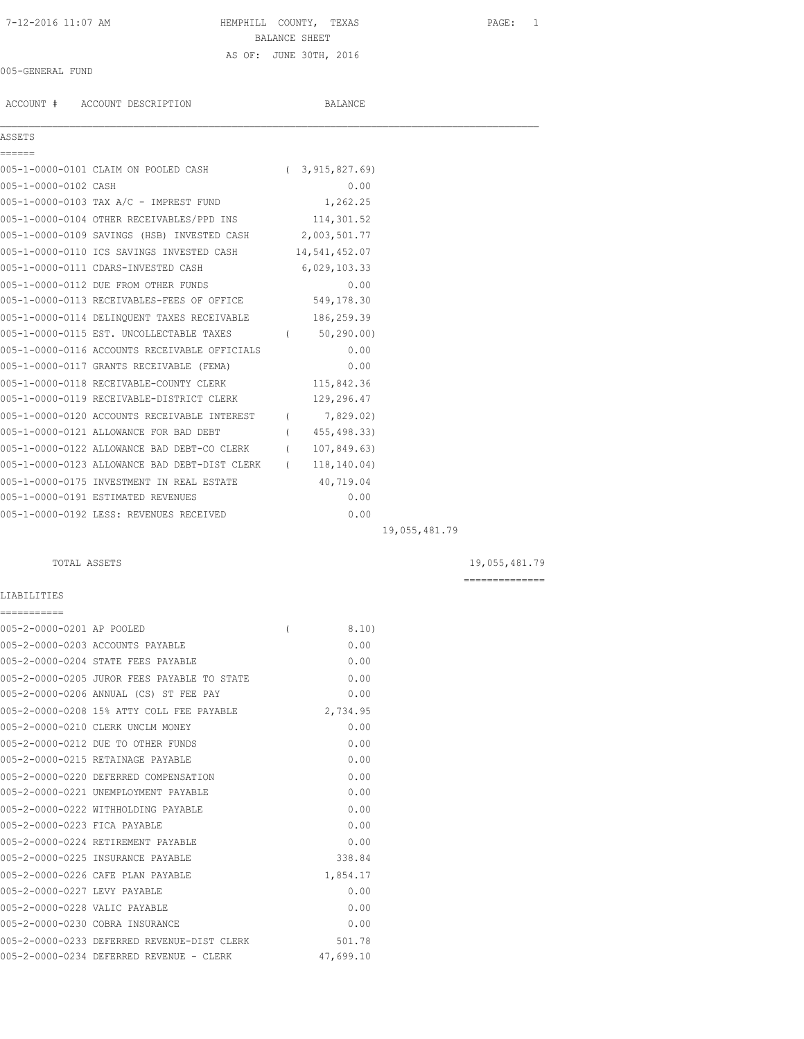# 7-12-2016 11:07 AM HEMPHILL COUNTY, TEXAS PAGE: 1 BALANCE SHEET AS OF: JUNE 30TH, 2016

## 005-GENERAL FUND

ACCOUNT # ACCOUNT DESCRIPTION BALANCE

# ASSETS

| ------               |                                                            |               |               |
|----------------------|------------------------------------------------------------|---------------|---------------|
|                      | 005-1-0000-0101 CLAIM ON POOLED CASH (3,915,827.69)        |               |               |
| 005-1-0000-0102 CASH |                                                            | 0.00          |               |
|                      | 005-1-0000-0103 TAX A/C - IMPREST FUND 1,262.25            |               |               |
|                      | 005-1-0000-0104 OTHER RECEIVABLES/PPD INS 114,301.52       |               |               |
|                      | 005-1-0000-0109 SAVINGS (HSB) INVESTED CASH 2,003,501.77   |               |               |
|                      | 005-1-0000-0110 ICS SAVINGS INVESTED CASH 14,541,452.07    |               |               |
|                      | 005-1-0000-0111 CDARS-INVESTED CASH                        | 6,029,103.33  |               |
|                      | 005-1-0000-0112 DUE FROM OTHER FUNDS                       | 0.00          |               |
|                      | 005-1-0000-0113 RECEIVABLES-FEES OF OFFICE 549,178.30      |               |               |
|                      | 005-1-0000-0114 DELINQUENT TAXES RECEIVABLE 186,259.39     |               |               |
|                      | 005-1-0000-0115 EST. UNCOLLECTABLE TAXES (60,290.00)       |               |               |
|                      | 005-1-0000-0116 ACCOUNTS RECEIVABLE OFFICIALS              | 0.00          |               |
|                      | 005-1-0000-0117 GRANTS RECEIVABLE (FEMA)                   | 0.00          |               |
|                      | 005-1-0000-0118 RECEIVABLE-COUNTY CLERK                    | 115,842.36    |               |
|                      | 005-1-0000-0119 RECEIVABLE-DISTRICT CLERK 129,296.47       |               |               |
|                      | 005-1-0000-0120 ACCOUNTS RECEIVABLE INTEREST (7,829.02)    |               |               |
|                      | 005-1-0000-0121 ALLOWANCE FOR BAD DEBT                     | (455, 498.33) |               |
|                      | 005-1-0000-0122 ALLOWANCE BAD DEBT-CO CLERK (107,849.63)   |               |               |
|                      | 005-1-0000-0123 ALLOWANCE BAD DEBT-DIST CLERK (118,140.04) |               |               |
|                      | 005-1-0000-0175 INVESTMENT IN REAL ESTATE 40,719.04        |               |               |
|                      | 005-1-0000-0191 ESTIMATED REVENUES                         | 0.00          |               |
|                      | 005-1-0000-0192 LESS: REVENUES RECEIVED                    | 0.00          |               |
|                      |                                                            |               | 19,055,481.79 |

 $\mathcal{L}_\mathcal{L} = \mathcal{L}_\mathcal{L}$ 

# TOTAL ASSETS 19,055,481.79

==============

# LIABILITIES ===========

| 005-2-0000-0201 AP POOLED     |                                             | 8.10      |
|-------------------------------|---------------------------------------------|-----------|
|                               | 005-2-0000-0203 ACCOUNTS PAYABLE            | 0.00      |
|                               | 005-2-0000-0204 STATE FEES PAYABLE          | 0.00      |
|                               | 005-2-0000-0205 JUROR FEES PAYABLE TO STATE | 0.00      |
|                               | 005-2-0000-0206 ANNUAL (CS) ST FEE PAY      | 0.00      |
|                               | 005-2-0000-0208 15% ATTY COLL FEE PAYABLE   | 2,734.95  |
|                               | 005-2-0000-0210 CLERK UNCLM MONEY           | 0.00      |
|                               | 005-2-0000-0212 DUE TO OTHER FUNDS          | 0.00      |
|                               | 005-2-0000-0215 RETAINAGE PAYABLE           | 0.00      |
|                               | 005-2-0000-0220 DEFERRED COMPENSATION       | 0.00      |
|                               | 005-2-0000-0221 UNEMPLOYMENT PAYABLE        | 0.00      |
|                               | 005-2-0000-0222 WITHHOLDING PAYABLE         | 0.00      |
| 005-2-0000-0223 FICA PAYABLE  |                                             | 0.00      |
|                               | 005-2-0000-0224 RETIREMENT PAYABLE          | 0.00      |
|                               | 005-2-0000-0225 INSURANCE PAYABLE           | 338.84    |
|                               | 005-2-0000-0226 CAFE PLAN PAYABLE           | 1,854.17  |
| 005-2-0000-0227 LEVY PAYABLE  |                                             | 0.00      |
| 005-2-0000-0228 VALIC PAYABLE |                                             | 0.00      |
|                               | 005-2-0000-0230 COBRA INSURANCE             | 0.00      |
|                               | 005-2-0000-0233 DEFERRED REVENUE-DIST CLERK | 501.78    |
|                               | 005-2-0000-0234 DEFERRED REVENUE - CLERK    | 47,699.10 |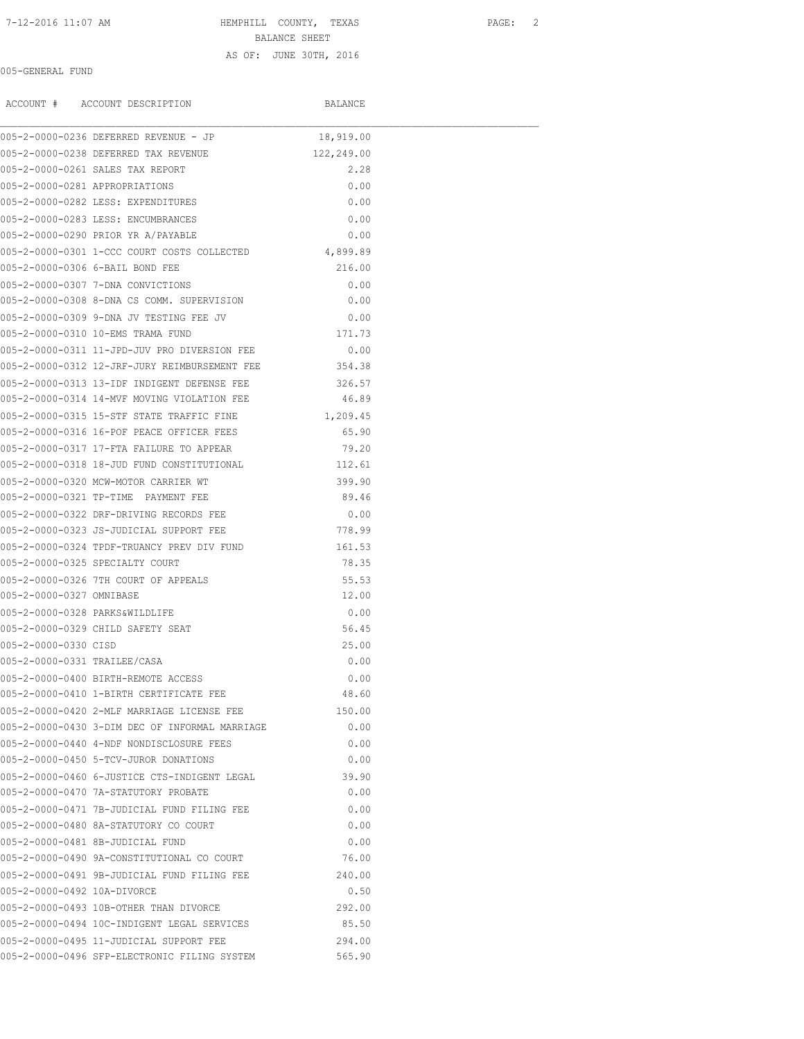#### 7-12-2016 11:07 AM HEMPHILL COUNTY, TEXAS PAGE: 2

BALANCE SHEET

### AS OF: JUNE 30TH, 2016

# 005-GENERAL FUND

|                                | ACCOUNT # ACCOUNT DESCRIPTION                                                  | BALANCE       |  |
|--------------------------------|--------------------------------------------------------------------------------|---------------|--|
|                                | 005-2-0000-0236 DEFERRED REVENUE - JP                                          | 18,919.00     |  |
|                                | 005-2-0000-0238 DEFERRED TAX REVENUE                                           | 122,249.00    |  |
|                                | 005-2-0000-0261 SALES TAX REPORT                                               | 2.28          |  |
| 005-2-0000-0281 APPROPRIATIONS |                                                                                | 0.00          |  |
|                                | 005-2-0000-0282 LESS: EXPENDITURES                                             | 0.00          |  |
|                                | 005-2-0000-0283 LESS: ENCUMBRANCES                                             | 0.00          |  |
|                                | 005-2-0000-0290 PRIOR YR A/PAYABLE                                             | 0.00          |  |
|                                | 005-2-0000-0301 1-CCC COURT COSTS COLLECTED                                    | 4,899.89      |  |
|                                | 005-2-0000-0306 6-BAIL BOND FEE                                                | 216.00        |  |
|                                | 005-2-0000-0307 7-DNA CONVICTIONS                                              | 0.00          |  |
|                                | 005-2-0000-0308 8-DNA CS COMM. SUPERVISION                                     | 0.00          |  |
|                                | 005-2-0000-0309 9-DNA JV TESTING FEE JV                                        | 0.00          |  |
|                                | 005-2-0000-0310 10-EMS TRAMA FUND                                              | 171.73        |  |
|                                | 005-2-0000-0311 11-JPD-JUV PRO DIVERSION FEE                                   | 0.00          |  |
|                                | 005-2-0000-0312 12-JRF-JURY REIMBURSEMENT FEE 354.38                           |               |  |
|                                | 005-2-0000-0313 13-TDF INDIGENT DEFENSE FEE                                    | 326.57        |  |
|                                | 005-2-0000-0314 14-MVF MOVING VIOLATION FEE                                    | 46.89         |  |
|                                | 005-2-0000-0315 15-STF STATE TRAFFIC FINE                                      | 1,209.45      |  |
|                                | 005-2-0000-0316 16-POF PEACE OFFICER FEES                                      | 65.90         |  |
|                                | 005-2-0000-0317 17-FTA FAILURE TO APPEAR                                       | 79.20         |  |
|                                | 005-2-0000-0318 18-JUD FUND CONSTITUTIONAL                                     | 112.61        |  |
|                                | 005-2-0000-0320 MCW-MOTOR CARRIER WT                                           | 399.90        |  |
|                                | 005-2-0000-0321 TP-TIME PAYMENT FEE                                            | 89.46         |  |
|                                | 005-2-0000-0322 DRF-DRIVING RECORDS FEE                                        | 0.00          |  |
|                                | 005-2-0000-0323 JS-JUDICIAL SUPPORT FEE                                        | 778.99        |  |
|                                | 005-2-0000-0324 TPDF-TRUANCY PREV DIV FUND                                     | 161.53        |  |
|                                | 005-2-0000-0325 SPECIALTY COURT                                                | 78.35         |  |
|                                | 005-2-0000-0326 7TH COURT OF APPEALS                                           | 55.53         |  |
| 005-2-0000-0327 OMNIBASE       |                                                                                | 12.00         |  |
| 005-2-0000-0328 PARKS&WILDLIFE |                                                                                | 0.00          |  |
|                                | 005-2-0000-0329 CHILD SAFETY SEAT                                              | 56.45         |  |
| 005-2-0000-0330 CISD           |                                                                                | 25.00         |  |
| 005-2-0000-0331 TRAILEE/CASA   |                                                                                | 0.00          |  |
|                                | 005-2-0000-0400 BIRTH-REMOTE ACCESS                                            | 0.00          |  |
|                                | 005-2-0000-0410 1-BIRTH CERTIFICATE FEE                                        | 48.60         |  |
|                                | 005-2-0000-0420 2-MLF MARRIAGE LICENSE FEE                                     | 150.00        |  |
|                                | 005-2-0000-0430 3-DIM DEC OF INFORMAL MARRIAGE                                 | 0.00          |  |
|                                | 005-2-0000-0440 4-NDF NONDISCLOSURE FEES                                       | 0.00          |  |
|                                | 005-2-0000-0450 5-TCV-JUROR DONATIONS                                          | 0.00          |  |
|                                | 005-2-0000-0460 6-JUSTICE CTS-INDIGENT LEGAL                                   | 39.90         |  |
|                                | 005-2-0000-0470 7A-STATUTORY PROBATE                                           | 0.00          |  |
|                                | 005-2-0000-0471 7B-JUDICIAL FUND FILING FEE                                    | 0.00          |  |
|                                | 005-2-0000-0480 8A-STATUTORY CO COURT                                          | 0.00          |  |
|                                |                                                                                |               |  |
|                                | 005-2-0000-0481 8B-JUDICIAL FUND<br>005-2-0000-0490 9A-CONSTITUTIONAL CO COURT | 0.00<br>76.00 |  |
|                                |                                                                                |               |  |
|                                | 005-2-0000-0491 9B-JUDICIAL FUND FILING FEE                                    | 240.00        |  |
| 005-2-0000-0492 10A-DIVORCE    |                                                                                | 0.50          |  |
|                                | 005-2-0000-0493 10B-OTHER THAN DIVORCE                                         | 292.00        |  |
|                                | 005-2-0000-0494 10C-INDIGENT LEGAL SERVICES                                    | 85.50         |  |
|                                | 005-2-0000-0495 11-JUDICIAL SUPPORT FEE                                        | 294.00        |  |
|                                | 005-2-0000-0496 SFP-ELECTRONIC FILING SYSTEM                                   | 565.90        |  |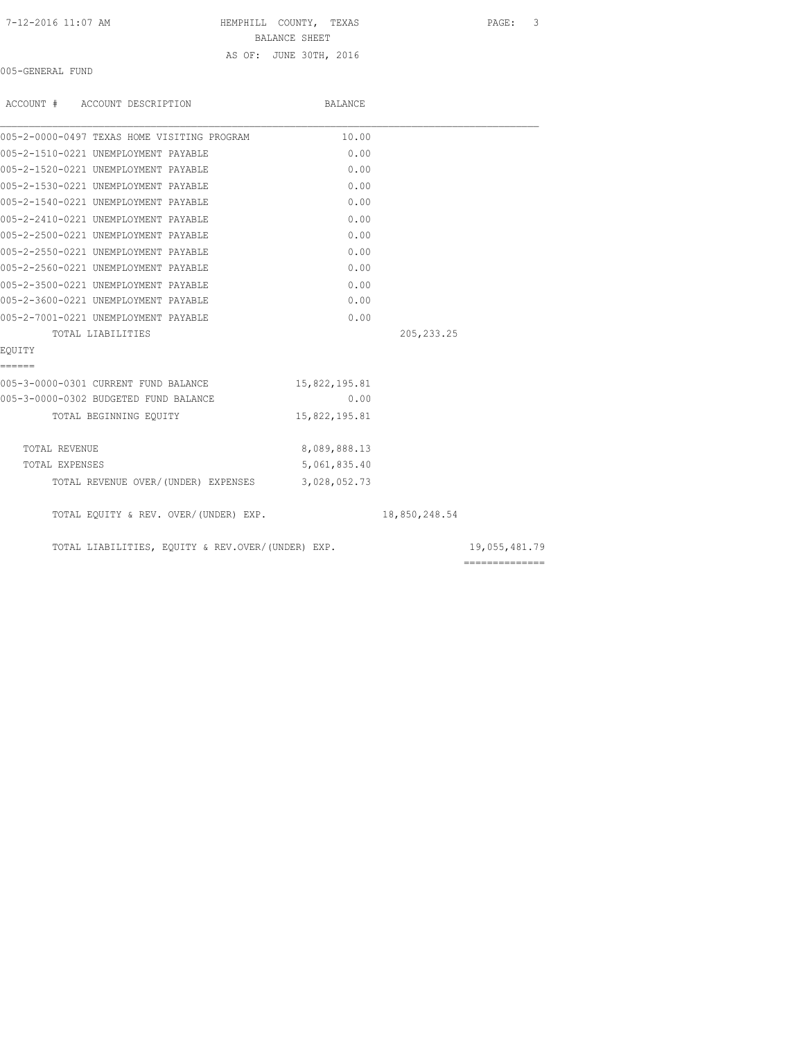| 7-12-2016 11:07 AM |  |
|--------------------|--|
|--------------------|--|

# HEMPHILL COUNTY, TEXAS PAGE: 3

BALANCE SHEET

# AS OF: JUNE 30TH, 2016

005-GENERAL FUND

| ACCOUNT # ACCOUNT DESCRIPTION                     | BALANCE       |               |                |
|---------------------------------------------------|---------------|---------------|----------------|
| 005-2-0000-0497 TEXAS HOME VISITING PROGRAM       | 10.00         |               |                |
| 005-2-1510-0221 UNEMPLOYMENT PAYABLE              | 0.00          |               |                |
| 005-2-1520-0221 UNEMPLOYMENT PAYABLE              | 0.00          |               |                |
| 005-2-1530-0221 UNEMPLOYMENT PAYABLE              | 0.00          |               |                |
| 005-2-1540-0221 UNEMPLOYMENT PAYABLE              | 0.00          |               |                |
| 005-2-2410-0221 UNEMPLOYMENT PAYABLE              | 0.00          |               |                |
| 005-2-2500-0221 UNEMPLOYMENT PAYABLE              | 0.00          |               |                |
| 005-2-2550-0221 UNEMPLOYMENT PAYABLE              | 0.00          |               |                |
| 005-2-2560-0221 UNEMPLOYMENT PAYABLE              | 0.00          |               |                |
| 005-2-3500-0221 UNEMPLOYMENT PAYABLE              | 0.00          |               |                |
| 005-2-3600-0221 UNEMPLOYMENT PAYABLE              | 0.00          |               |                |
| 005-2-7001-0221 UNEMPLOYMENT PAYABLE              | 0.00          |               |                |
| TOTAL LIABILITIES                                 |               | 205, 233.25   |                |
| EOUITY                                            |               |               |                |
| ======                                            |               |               |                |
| 005-3-0000-0301 CURRENT FUND BALANCE              | 15,822,195.81 |               |                |
| 005-3-0000-0302 BUDGETED FUND BALANCE             | 0.00          |               |                |
| TOTAL BEGINNING EQUITY                            | 15,822,195.81 |               |                |
| TOTAL REVENUE                                     | 8,089,888.13  |               |                |
| TOTAL EXPENSES                                    | 5,061,835.40  |               |                |
| TOTAL REVENUE OVER/(UNDER) EXPENSES 3,028,052.73  |               |               |                |
| TOTAL EQUITY & REV. OVER/(UNDER) EXP.             |               | 18,850,248.54 |                |
| TOTAL LIABILITIES, EQUITY & REV.OVER/(UNDER) EXP. |               |               | 19,055,481.79  |
|                                                   |               |               | ============== |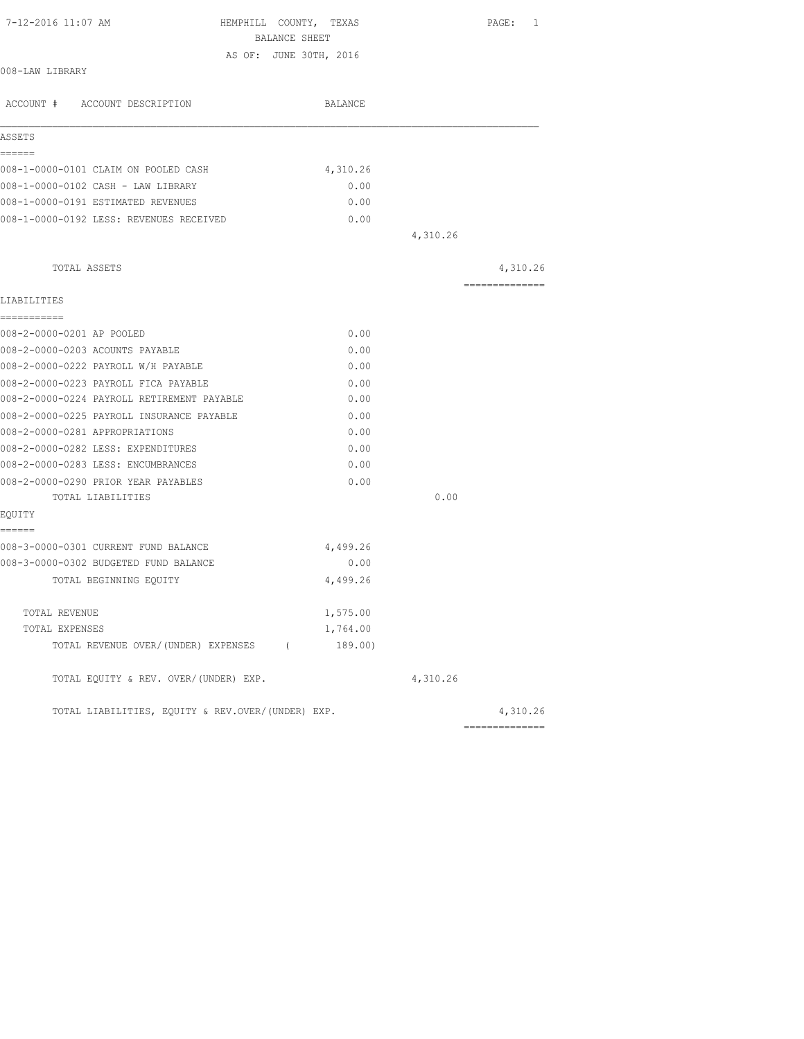| 7-12-2016 11:07 AM<br>HEMPHILL COUNTY, TEXAS      |          |          | PAGE: 1         |
|---------------------------------------------------|----------|----------|-----------------|
| BALANCE SHEET                                     |          |          |                 |
| AS OF: JUNE 30TH, 2016<br>008-LAW LIBRARY         |          |          |                 |
| ACCOUNT # ACCOUNT DESCRIPTION                     | BALANCE  |          |                 |
| ASSETS                                            |          |          |                 |
| ======<br>008-1-0000-0101 CLAIM ON POOLED CASH    | 4,310.26 |          |                 |
| 008-1-0000-0102 CASH - LAW LIBRARY                | 0.00     |          |                 |
| 008-1-0000-0191 ESTIMATED REVENUES                | 0.00     |          |                 |
| 008-1-0000-0192 LESS: REVENUES RECEIVED           | 0.00     |          |                 |
|                                                   |          | 4,310.26 |                 |
| TOTAL ASSETS                                      |          |          | 4,310.26        |
|                                                   |          |          | --------------- |
| LIABILITIES<br>-----------                        |          |          |                 |
| 008-2-0000-0201 AP POOLED                         | 0.00     |          |                 |
| 008-2-0000-0203 ACOUNTS PAYABLE                   | 0.00     |          |                 |
| 008-2-0000-0222 PAYROLL W/H PAYABLE               | 0.00     |          |                 |
| 008-2-0000-0223 PAYROLL FICA PAYABLE              | 0.00     |          |                 |
| 008-2-0000-0224 PAYROLL RETIREMENT PAYABLE        | 0.00     |          |                 |
| 008-2-0000-0225 PAYROLL INSURANCE PAYABLE         | 0.00     |          |                 |
| 008-2-0000-0281 APPROPRIATIONS                    | 0.00     |          |                 |
| 008-2-0000-0282 LESS: EXPENDITURES                | 0.00     |          |                 |
| 008-2-0000-0283 LESS: ENCUMBRANCES                | 0.00     |          |                 |
| 008-2-0000-0290 PRIOR YEAR PAYABLES               | 0.00     |          |                 |
| TOTAL LIABILITIES                                 |          | 0.00     |                 |
| EOUITY                                            |          |          |                 |
| ======<br>008-3-0000-0301 CURRENT FUND BALANCE    | 4,499.26 |          |                 |
| 008-3-0000-0302 BUDGETED FUND BALANCE             | 0.00     |          |                 |
| TOTAL BEGINNING EOUITY                            | 4,499.26 |          |                 |
| TOTAL REVENUE                                     | 1,575.00 |          |                 |
| TOTAL EXPENSES                                    | 1,764.00 |          |                 |
| TOTAL REVENUE OVER/(UNDER) EXPENSES (             | 189.00)  |          |                 |
| TOTAL EQUITY & REV. OVER/(UNDER) EXP.             |          | 4,310.26 |                 |
| TOTAL LIABILITIES, EQUITY & REV.OVER/(UNDER) EXP. |          |          | 4,310.26        |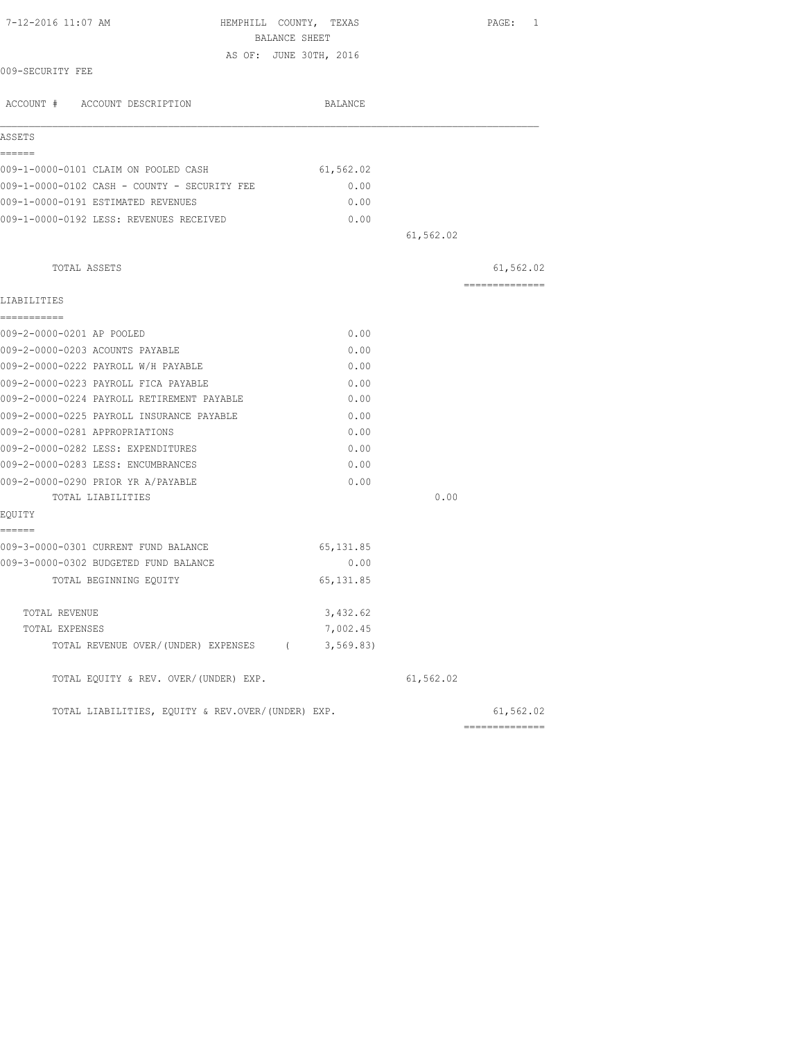| 7-12-2016 11:07 AM<br>HEMPHILL COUNTY, TEXAS<br>BALANCE SHEET |            |           | PAGE: 1         |
|---------------------------------------------------------------|------------|-----------|-----------------|
| AS OF: JUNE 30TH, 2016                                        |            |           |                 |
| 009-SECURITY FEE                                              |            |           |                 |
| ACCOUNT # ACCOUNT DESCRIPTION                                 | BALANCE    |           |                 |
| ASSETS                                                        |            |           |                 |
| ======<br>009-1-0000-0101 CLAIM ON POOLED CASH                | 61,562.02  |           |                 |
| 009-1-0000-0102 CASH - COUNTY - SECURITY FEE                  | 0.00       |           |                 |
| 009-1-0000-0191 ESTIMATED REVENUES                            | 0.00       |           |                 |
| 009-1-0000-0192 LESS: REVENUES RECEIVED                       | 0.00       |           |                 |
|                                                               |            | 61,562.02 |                 |
|                                                               |            |           |                 |
| TOTAL ASSETS                                                  |            |           | 61,562.02       |
| LIABILITIES                                                   |            |           | --------------- |
| -----------                                                   |            |           |                 |
| 009-2-0000-0201 AP POOLED                                     | 0.00       |           |                 |
| 009-2-0000-0203 ACOUNTS PAYABLE                               | 0.00       |           |                 |
| 009-2-0000-0222 PAYROLL W/H PAYABLE                           | 0.00       |           |                 |
| 009-2-0000-0223 PAYROLL FICA PAYABLE                          | 0.00       |           |                 |
| 009-2-0000-0224 PAYROLL RETIREMENT PAYABLE                    | 0.00       |           |                 |
| 009-2-0000-0225 PAYROLL INSURANCE PAYABLE                     | 0.00       |           |                 |
| 009-2-0000-0281 APPROPRIATIONS                                | 0.00       |           |                 |
| 009-2-0000-0282 LESS: EXPENDITURES                            | 0.00       |           |                 |
| 009-2-0000-0283 LESS: ENCUMBRANCES                            | 0.00       |           |                 |
| 009-2-0000-0290 PRIOR YR A/PAYABLE                            | 0.00       |           |                 |
| TOTAL LIABILITIES                                             |            | 0.00      |                 |
| EQUITY                                                        |            |           |                 |
| ======<br>009-3-0000-0301 CURRENT FUND BALANCE                | 65, 131.85 |           |                 |
| 009-3-0000-0302 BUDGETED FUND BALANCE                         | 0.00       |           |                 |
| TOTAL BEGINNING EQUITY                                        | 65, 131.85 |           |                 |
|                                                               |            |           |                 |
| TOTAL REVENUE                                                 | 3,432.62   |           |                 |
| TOTAL EXPENSES                                                | 7,002.45   |           |                 |
| TOTAL REVENUE OVER/(UNDER) EXPENSES (                         | 3, 569.83  |           |                 |
| TOTAL EQUITY & REV. OVER/(UNDER) EXP.                         |            | 61,562.02 |                 |
| TOTAL LIABILITIES, EQUITY & REV.OVER/(UNDER) EXP.             |            |           | 61,562.02       |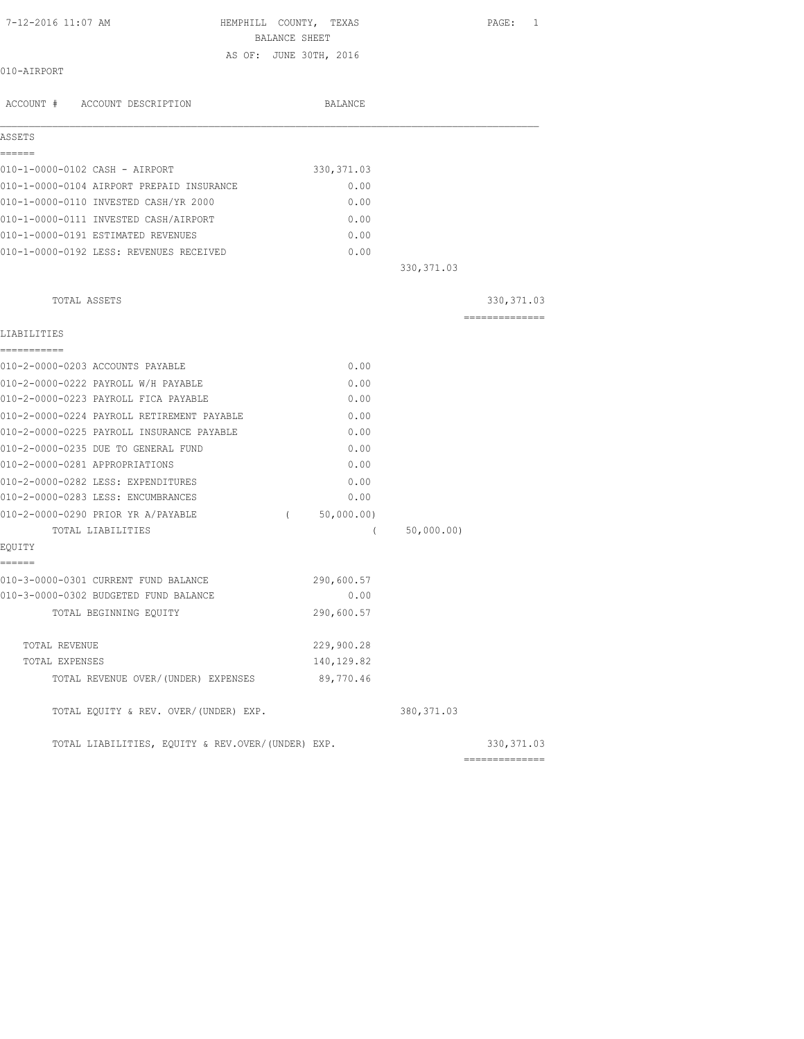| 7-12-2016 11:07 AM                                | HEMPHILL COUNTY, TEXAS | PAGE:<br>1     |
|---------------------------------------------------|------------------------|----------------|
|                                                   | BALANCE SHEET          |                |
|                                                   | AS OF: JUNE 30TH, 2016 |                |
| 010-AIRPORT                                       |                        |                |
| ACCOUNT # ACCOUNT DESCRIPTION                     | BALANCE                |                |
| ASSETS                                            |                        |                |
| ======                                            |                        |                |
| 010-1-0000-0102 CASH - AIRPORT                    | 330, 371.03            |                |
| 010-1-0000-0104 AIRPORT PREPAID INSURANCE         | 0.00                   |                |
| 010-1-0000-0110 INVESTED CASH/YR 2000             | 0.00                   |                |
| 010-1-0000-0111 INVESTED CASH/AIRPORT             | 0.00                   |                |
| 010-1-0000-0191 ESTIMATED REVENUES                | 0.00                   |                |
| 010-1-0000-0192 LESS: REVENUES RECEIVED           | 0.00                   |                |
|                                                   |                        | 330, 371.03    |
| TOTAL ASSETS                                      |                        | 330, 371.03    |
| LIABILITIES                                       |                        | ============== |
| -----------                                       |                        |                |
| 010-2-0000-0203 ACCOUNTS PAYABLE                  | 0.00                   |                |
| 010-2-0000-0222 PAYROLL W/H PAYABLE               | 0.00                   |                |
| 010-2-0000-0223 PAYROLL FICA PAYABLE              | 0.00                   |                |
| 010-2-0000-0224 PAYROLL RETIREMENT PAYABLE        | 0.00                   |                |
| 010-2-0000-0225 PAYROLL INSURANCE PAYABLE         | 0.00                   |                |
| 010-2-0000-0235 DUE TO GENERAL FUND               | 0.00                   |                |
| 010-2-0000-0281 APPROPRIATIONS                    | 0.00                   |                |
| 010-2-0000-0282 LESS: EXPENDITURES                | 0.00                   |                |
| 010-2-0000-0283 LESS: ENCUMBRANCES                | 0.00                   |                |
| 010-2-0000-0290 PRIOR YR A/PAYABLE                | 50,000.00)<br>$\left($ |                |
| TOTAL LIABILITIES                                 | $\left($               | 50,000.00)     |
| EQUITY<br>======                                  |                        |                |
| 010-3-0000-0301 CURRENT FUND BALANCE              | 290,600.57             |                |
| 010-3-0000-0302 BUDGETED FUND BALANCE             | 0.00                   |                |
| TOTAL BEGINNING EQUITY                            | 290,600.57             |                |
| TOTAL REVENUE                                     | 229,900.28             |                |
| TOTAL EXPENSES                                    | 140,129.82             |                |
| TOTAL REVENUE OVER/(UNDER) EXPENSES               | 89,770.46              |                |
| TOTAL EQUITY & REV. OVER/(UNDER) EXP.             |                        | 380, 371.03    |
| TOTAL LIABILITIES, EQUITY & REV.OVER/(UNDER) EXP. |                        | 330, 371.03    |

==============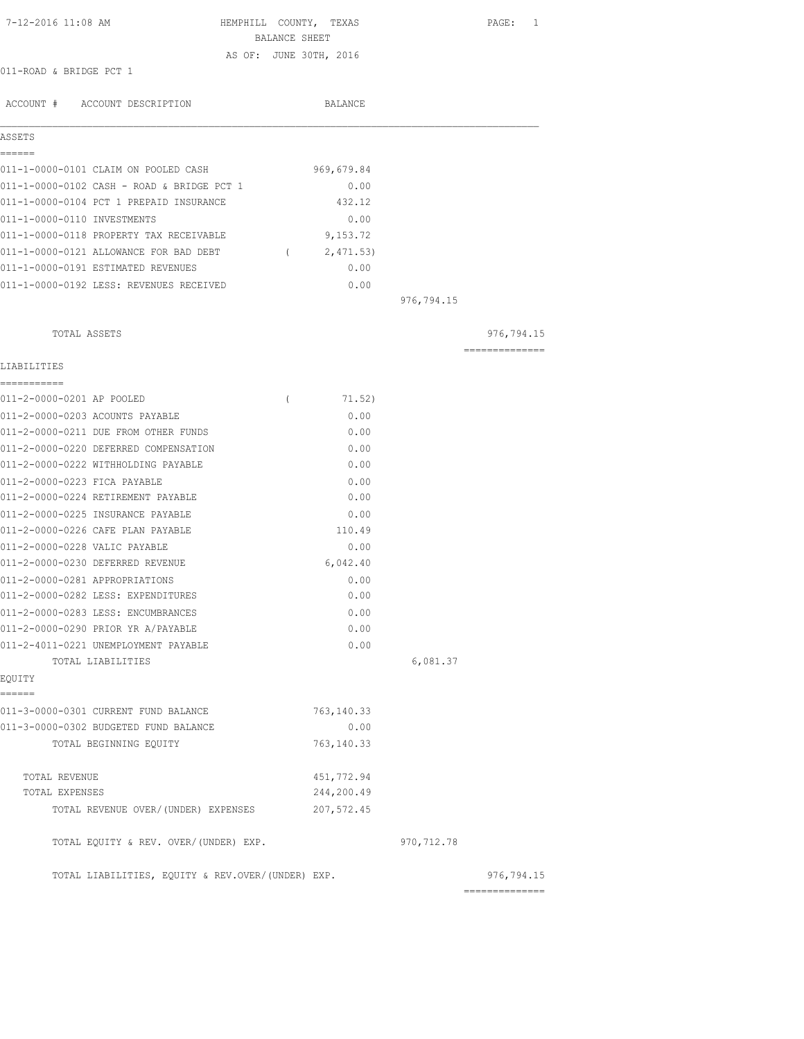| 7-12-2016 11:08 AM                                | BALANCE SHEET | HEMPHILL COUNTY, TEXAS |              | PAGE:<br>1                   |
|---------------------------------------------------|---------------|------------------------|--------------|------------------------------|
|                                                   |               | AS OF: JUNE 30TH, 2016 |              |                              |
| 011-ROAD & BRIDGE PCT 1                           |               |                        |              |                              |
| ACCOUNT # ACCOUNT DESCRIPTION                     |               | BALANCE                |              |                              |
|                                                   |               |                        |              |                              |
| ASSETS<br>======                                  |               |                        |              |                              |
| 011-1-0000-0101 CLAIM ON POOLED CASH              |               | 969,679.84             |              |                              |
| 011-1-0000-0102 CASH - ROAD & BRIDGE PCT 1        |               | 0.00                   |              |                              |
| 011-1-0000-0104 PCT 1 PREPAID INSURANCE           |               | 432.12                 |              |                              |
| 011-1-0000-0110 INVESTMENTS                       |               | 0.00                   |              |                              |
| 011-1-0000-0118 PROPERTY TAX RECEIVABLE           |               | 9,153.72               |              |                              |
| 011-1-0000-0121 ALLOWANCE FOR BAD DEBT            |               | (2, 471.53)            |              |                              |
| 011-1-0000-0191 ESTIMATED REVENUES                |               | 0.00                   |              |                              |
| 011-1-0000-0192 LESS: REVENUES RECEIVED           |               | 0.00                   |              |                              |
|                                                   |               |                        | 976,794.15   |                              |
| TOTAL ASSETS                                      |               |                        |              | 976,794.15                   |
|                                                   |               |                        |              | ---------------              |
| LIABILITIES                                       |               |                        |              |                              |
| -----------<br>011-2-0000-0201 AP POOLED          | $\left($      | 71.52)                 |              |                              |
| 011-2-0000-0203 ACOUNTS PAYABLE                   |               | 0.00                   |              |                              |
| 011-2-0000-0211 DUE FROM OTHER FUNDS              |               | 0.00                   |              |                              |
| 011-2-0000-0220 DEFERRED COMPENSATION             |               | 0.00                   |              |                              |
| 011-2-0000-0222 WITHHOLDING PAYABLE               |               | 0.00                   |              |                              |
| 011-2-0000-0223 FICA PAYABLE                      |               | 0.00                   |              |                              |
| 011-2-0000-0224 RETIREMENT PAYABLE                |               | 0.00                   |              |                              |
| 011-2-0000-0225 INSURANCE PAYABLE                 |               | 0.00                   |              |                              |
| 011-2-0000-0226 CAFE PLAN PAYABLE                 |               | 110.49                 |              |                              |
| 011-2-0000-0228 VALIC PAYABLE                     |               | 0.00                   |              |                              |
| 011-2-0000-0230 DEFERRED REVENUE                  |               | 6,042.40               |              |                              |
| 011-2-0000-0281 APPROPRIATIONS                    |               | 0.00                   |              |                              |
| 011-2-0000-0282 LESS: EXPENDITURES                |               | 0.00                   |              |                              |
| 011-2-0000-0283 LESS: ENCUMBRANCES                |               | 0.00                   |              |                              |
| 011-2-0000-0290 PRIOR YR A/PAYABLE                |               | 0.00                   |              |                              |
| 011-2-4011-0221 UNEMPLOYMENT PAYABLE              |               | 0.00                   |              |                              |
| TOTAL LIABILITIES<br>EQUITY                       |               |                        | 6,081.37     |                              |
| ------                                            |               |                        |              |                              |
| 011-3-0000-0301 CURRENT FUND BALANCE              |               | 763, 140.33            |              |                              |
| 011-3-0000-0302 BUDGETED FUND BALANCE             |               | 0.00                   |              |                              |
| TOTAL BEGINNING EQUITY                            |               | 763, 140.33            |              |                              |
| TOTAL REVENUE                                     |               | 451,772.94             |              |                              |
| TOTAL EXPENSES                                    |               | 244,200.49             |              |                              |
| TOTAL REVENUE OVER/ (UNDER) EXPENSES              |               | 207, 572.45            |              |                              |
| TOTAL EQUITY & REV. OVER/(UNDER) EXP.             |               |                        | 970, 712. 78 |                              |
| TOTAL LIABILITIES, EQUITY & REV.OVER/(UNDER) EXP. |               |                        |              | 976,794.15<br>============== |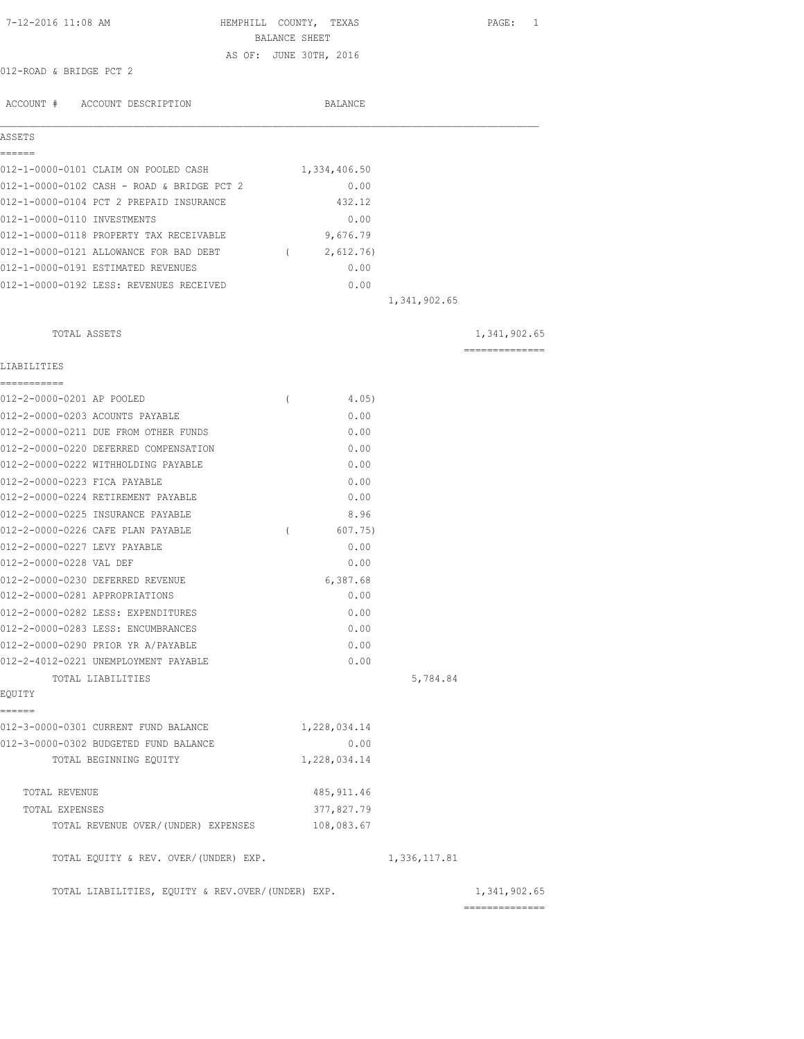| 7-12-2016 11:08 AM                                | HEMPHILL COUNTY, TEXAS |              | PAGE: 1                                                                                                                                                                                                                                                                                                                                                                                                                                                                                |
|---------------------------------------------------|------------------------|--------------|----------------------------------------------------------------------------------------------------------------------------------------------------------------------------------------------------------------------------------------------------------------------------------------------------------------------------------------------------------------------------------------------------------------------------------------------------------------------------------------|
|                                                   | BALANCE SHEET          |              |                                                                                                                                                                                                                                                                                                                                                                                                                                                                                        |
|                                                   | AS OF: JUNE 30TH, 2016 |              |                                                                                                                                                                                                                                                                                                                                                                                                                                                                                        |
| 012-ROAD & BRIDGE PCT 2                           |                        |              |                                                                                                                                                                                                                                                                                                                                                                                                                                                                                        |
| ACCOUNT # ACCOUNT DESCRIPTION                     | BALANCE                |              |                                                                                                                                                                                                                                                                                                                                                                                                                                                                                        |
|                                                   |                        |              |                                                                                                                                                                                                                                                                                                                                                                                                                                                                                        |
| ASSETS<br>======                                  |                        |              |                                                                                                                                                                                                                                                                                                                                                                                                                                                                                        |
| 012-1-0000-0101 CLAIM ON POOLED CASH              | 1,334,406.50           |              |                                                                                                                                                                                                                                                                                                                                                                                                                                                                                        |
| 012-1-0000-0102 CASH - ROAD & BRIDGE PCT 2        | 0.00                   |              |                                                                                                                                                                                                                                                                                                                                                                                                                                                                                        |
| 012-1-0000-0104 PCT 2 PREPAID INSURANCE           | 432.12                 |              |                                                                                                                                                                                                                                                                                                                                                                                                                                                                                        |
| 012-1-0000-0110 INVESTMENTS                       | 0.00                   |              |                                                                                                                                                                                                                                                                                                                                                                                                                                                                                        |
| 012-1-0000-0118 PROPERTY TAX RECEIVABLE           | 9,676.79               |              |                                                                                                                                                                                                                                                                                                                                                                                                                                                                                        |
| 012-1-0000-0121 ALLOWANCE FOR BAD DEBT            | (2,612.76)             |              |                                                                                                                                                                                                                                                                                                                                                                                                                                                                                        |
| 012-1-0000-0191 ESTIMATED REVENUES                | 0.00                   |              |                                                                                                                                                                                                                                                                                                                                                                                                                                                                                        |
| 012-1-0000-0192 LESS: REVENUES RECEIVED           | 0.00                   |              |                                                                                                                                                                                                                                                                                                                                                                                                                                                                                        |
|                                                   |                        | 1,341,902.65 |                                                                                                                                                                                                                                                                                                                                                                                                                                                                                        |
| TOTAL ASSETS                                      |                        |              | 1,341,902.65                                                                                                                                                                                                                                                                                                                                                                                                                                                                           |
|                                                   |                        |              | $\begin{array}{cccccccccc} \multicolumn{2}{c}{} & \multicolumn{2}{c}{} & \multicolumn{2}{c}{} & \multicolumn{2}{c}{} & \multicolumn{2}{c}{} & \multicolumn{2}{c}{} & \multicolumn{2}{c}{} & \multicolumn{2}{c}{} & \multicolumn{2}{c}{} & \multicolumn{2}{c}{} & \multicolumn{2}{c}{} & \multicolumn{2}{c}{} & \multicolumn{2}{c}{} & \multicolumn{2}{c}{} & \multicolumn{2}{c}{} & \multicolumn{2}{c}{} & \multicolumn{2}{c}{} & \multicolumn{2}{c}{} & \multicolumn{2}{c}{} & \mult$ |
| LIABILITIES                                       |                        |              |                                                                                                                                                                                                                                                                                                                                                                                                                                                                                        |
| 012-2-0000-0201 AP POOLED                         | $\left($<br>4.05)      |              |                                                                                                                                                                                                                                                                                                                                                                                                                                                                                        |
| 012-2-0000-0203 ACOUNTS PAYABLE                   | 0.00                   |              |                                                                                                                                                                                                                                                                                                                                                                                                                                                                                        |
| 012-2-0000-0211 DUE FROM OTHER FUNDS              | 0.00                   |              |                                                                                                                                                                                                                                                                                                                                                                                                                                                                                        |
| 012-2-0000-0220 DEFERRED COMPENSATION             | 0.00                   |              |                                                                                                                                                                                                                                                                                                                                                                                                                                                                                        |
| 012-2-0000-0222 WITHHOLDING PAYABLE               | 0.00                   |              |                                                                                                                                                                                                                                                                                                                                                                                                                                                                                        |
| 012-2-0000-0223 FICA PAYABLE                      | 0.00                   |              |                                                                                                                                                                                                                                                                                                                                                                                                                                                                                        |
| 012-2-0000-0224 RETIREMENT PAYABLE                | 0.00                   |              |                                                                                                                                                                                                                                                                                                                                                                                                                                                                                        |
| 012-2-0000-0225 INSURANCE PAYABLE                 | 8.96                   |              |                                                                                                                                                                                                                                                                                                                                                                                                                                                                                        |
| 012-2-0000-0226 CAFE PLAN PAYABLE                 | $\sqrt{2}$<br>607.75)  |              |                                                                                                                                                                                                                                                                                                                                                                                                                                                                                        |
| 012-2-0000-0227 LEVY PAYABLE                      | 0.00                   |              |                                                                                                                                                                                                                                                                                                                                                                                                                                                                                        |
| 012-2-0000-0228 VAL DEF                           | 0.00                   |              |                                                                                                                                                                                                                                                                                                                                                                                                                                                                                        |
| 012-2-0000-0230 DEFERRED REVENUE                  | 6,387.68               |              |                                                                                                                                                                                                                                                                                                                                                                                                                                                                                        |
| 012-2-0000-0281 APPROPRIATIONS                    | 0.00                   |              |                                                                                                                                                                                                                                                                                                                                                                                                                                                                                        |
| 012-2-0000-0282 LESS: EXPENDITURES                | 0.00                   |              |                                                                                                                                                                                                                                                                                                                                                                                                                                                                                        |
| 012-2-0000-0283 LESS: ENCUMBRANCES                | 0.00                   |              |                                                                                                                                                                                                                                                                                                                                                                                                                                                                                        |
| 012-2-0000-0290 PRIOR YR A/PAYABLE                | 0.00                   |              |                                                                                                                                                                                                                                                                                                                                                                                                                                                                                        |
| 012-2-4012-0221 UNEMPLOYMENT PAYABLE              | 0.00                   |              |                                                                                                                                                                                                                                                                                                                                                                                                                                                                                        |
| TOTAL LIABILITIES                                 |                        | 5,784.84     |                                                                                                                                                                                                                                                                                                                                                                                                                                                                                        |
| EQUITY                                            |                        |              |                                                                                                                                                                                                                                                                                                                                                                                                                                                                                        |
| ======<br>012-3-0000-0301 CURRENT FUND BALANCE    | 1,228,034.14           |              |                                                                                                                                                                                                                                                                                                                                                                                                                                                                                        |
| 012-3-0000-0302 BUDGETED FUND BALANCE             |                        |              |                                                                                                                                                                                                                                                                                                                                                                                                                                                                                        |
| TOTAL BEGINNING EQUITY                            | 0.00<br>1,228,034.14   |              |                                                                                                                                                                                                                                                                                                                                                                                                                                                                                        |
|                                                   |                        |              |                                                                                                                                                                                                                                                                                                                                                                                                                                                                                        |
| TOTAL REVENUE                                     | 485, 911.46            |              |                                                                                                                                                                                                                                                                                                                                                                                                                                                                                        |
| TOTAL EXPENSES                                    | 377,827.79             |              |                                                                                                                                                                                                                                                                                                                                                                                                                                                                                        |
| TOTAL REVENUE OVER/(UNDER) EXPENSES               | 108,083.67             |              |                                                                                                                                                                                                                                                                                                                                                                                                                                                                                        |
| TOTAL EQUITY & REV. OVER/(UNDER) EXP.             |                        | 1,336,117.81 |                                                                                                                                                                                                                                                                                                                                                                                                                                                                                        |
| TOTAL LIABILITIES, EQUITY & REV.OVER/(UNDER) EXP. |                        |              | 1,341,902.65<br>==============                                                                                                                                                                                                                                                                                                                                                                                                                                                         |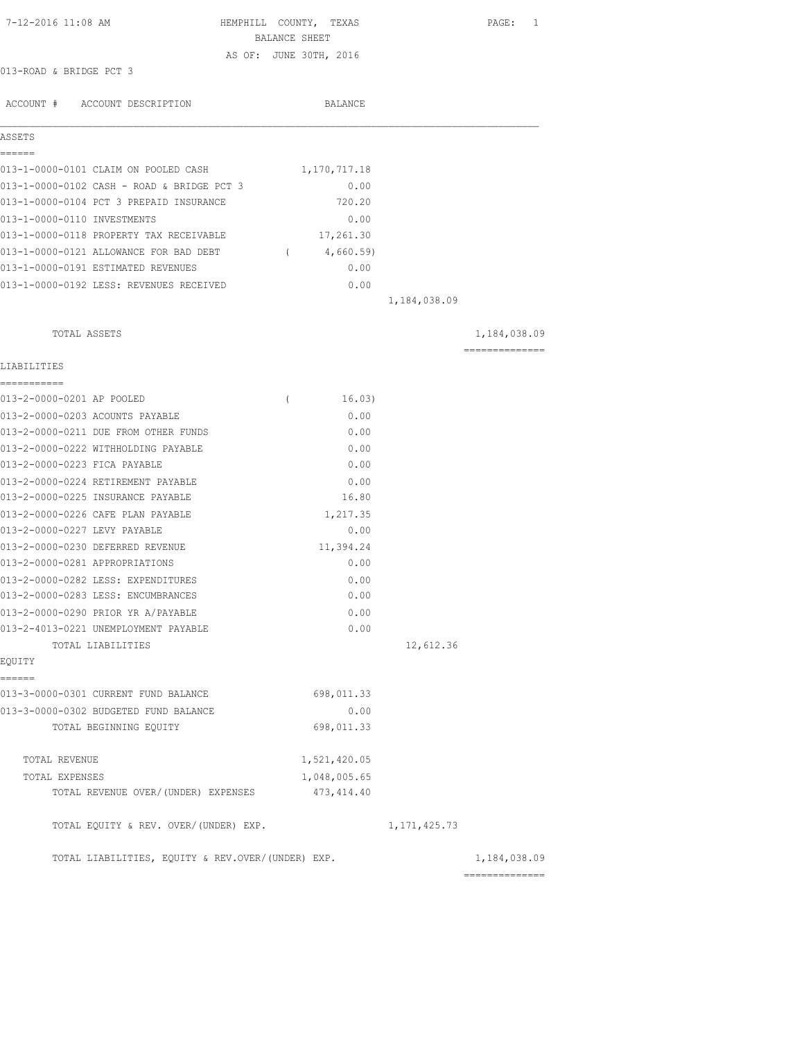| 7-12-2016 11:08 AM                                |               | HEMPHILL COUNTY, TEXAS |                | PAGE: 1        |
|---------------------------------------------------|---------------|------------------------|----------------|----------------|
|                                                   | BALANCE SHEET |                        |                |                |
| 013-ROAD & BRIDGE PCT 3                           |               | AS OF: JUNE 30TH, 2016 |                |                |
|                                                   |               |                        |                |                |
| ACCOUNT # ACCOUNT DESCRIPTION                     |               | BALANCE                |                |                |
| ASSETS                                            |               |                        |                |                |
| ======                                            |               |                        |                |                |
| 013-1-0000-0101 CLAIM ON POOLED CASH              |               | 1,170,717.18           |                |                |
| 013-1-0000-0102 CASH - ROAD & BRIDGE PCT 3        |               | 0.00                   |                |                |
| 013-1-0000-0104 PCT 3 PREPAID INSURANCE           |               | 720.20                 |                |                |
| 013-1-0000-0110 INVESTMENTS                       |               | 0.00                   |                |                |
| 013-1-0000-0118 PROPERTY TAX RECEIVABLE           |               | 17,261.30              |                |                |
| 013-1-0000-0121 ALLOWANCE FOR BAD DEBT (4,660.59) |               |                        |                |                |
| 013-1-0000-0191 ESTIMATED REVENUES                |               | 0.00                   |                |                |
| 013-1-0000-0192 LESS: REVENUES RECEIVED           |               | 0.00                   |                |                |
|                                                   |               |                        | 1,184,038.09   |                |
| TOTAL ASSETS                                      |               |                        |                | 1,184,038.09   |
|                                                   |               |                        |                | ============== |
| LIABILITIES                                       |               |                        |                |                |
| 013-2-0000-0201 AP POOLED                         | $\left($      | 16.03)                 |                |                |
| 013-2-0000-0203 ACOUNTS PAYABLE                   |               | 0.00                   |                |                |
| 013-2-0000-0211 DUE FROM OTHER FUNDS              |               | 0.00                   |                |                |
| 013-2-0000-0222 WITHHOLDING PAYABLE               |               | 0.00                   |                |                |
| 013-2-0000-0223 FICA PAYABLE                      |               | 0.00                   |                |                |
| 013-2-0000-0224 RETIREMENT PAYABLE                |               | 0.00                   |                |                |
| 013-2-0000-0225 INSURANCE PAYABLE                 |               | 16.80                  |                |                |
| 013-2-0000-0226 CAFE PLAN PAYABLE                 |               | 1,217.35               |                |                |
| 013-2-0000-0227 LEVY PAYABLE                      |               | 0.00                   |                |                |
| 013-2-0000-0230 DEFERRED REVENUE                  |               | 11,394.24              |                |                |
| 013-2-0000-0281 APPROPRIATIONS                    |               | 0.00                   |                |                |
| 013-2-0000-0282 LESS: EXPENDITURES                |               | 0.00                   |                |                |
| 013-2-0000-0283 LESS: ENCUMBRANCES                |               | 0.00                   |                |                |
| 013-2-0000-0290 PRIOR YR A/PAYABLE                |               | 0.00                   |                |                |
| 013-2-4013-0221 UNEMPLOYMENT PAYABLE              |               | 0.00                   |                |                |
| TOTAL LIABILITIES                                 |               |                        | 12,612.36      |                |
| EQUITY                                            |               |                        |                |                |
| ======<br>013-3-0000-0301 CURRENT FUND BALANCE    |               | 698,011.33             |                |                |
| 013-3-0000-0302 BUDGETED FUND BALANCE             |               | 0.00                   |                |                |
| TOTAL BEGINNING EQUITY                            |               | 698,011.33             |                |                |
|                                                   |               |                        |                |                |
| TOTAL REVENUE                                     |               | 1,521,420.05           |                |                |
| TOTAL EXPENSES                                    |               | 1,048,005.65           |                |                |
| TOTAL REVENUE OVER/(UNDER) EXPENSES               |               | 473, 414.40            |                |                |
| TOTAL EQUITY & REV. OVER/(UNDER) EXP.             |               |                        | 1, 171, 425.73 |                |
| TOTAL LIABILITIES, EQUITY & REV.OVER/(UNDER) EXP. |               |                        |                | 1,184,038.09   |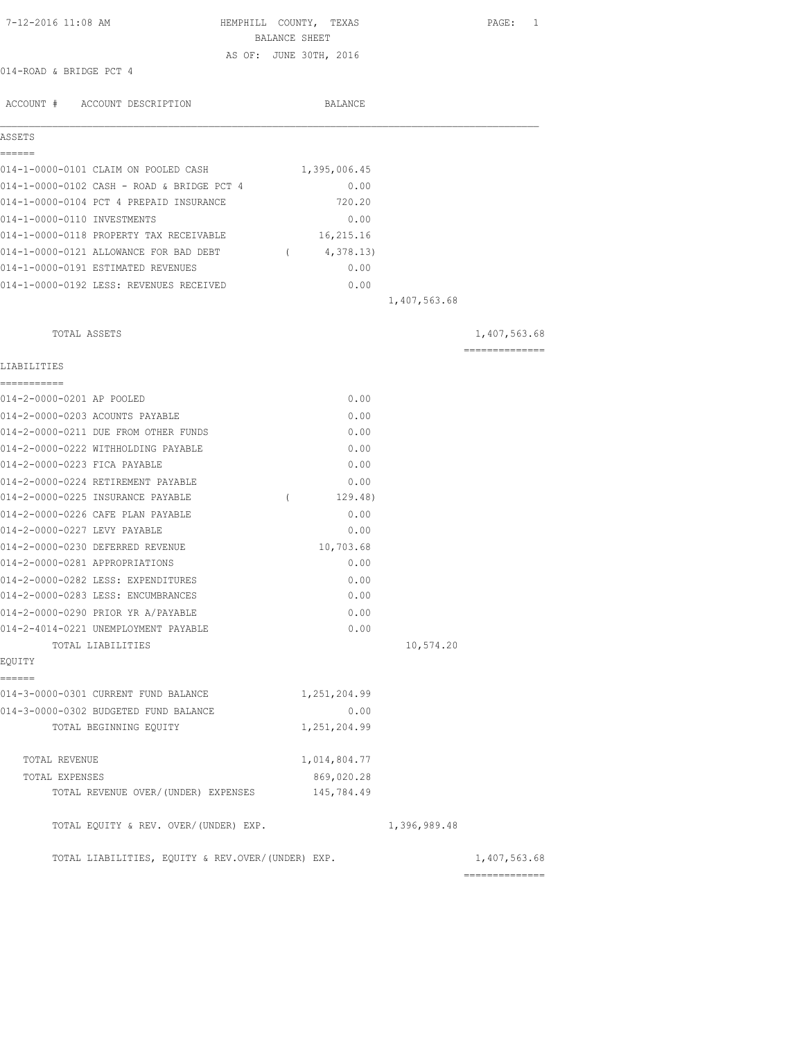| 7-12-2016 11:08 AM                                | HEMPHILL COUNTY, TEXAS |            |               |              |              | PAGE: 1        |
|---------------------------------------------------|------------------------|------------|---------------|--------------|--------------|----------------|
|                                                   |                        |            | BALANCE SHEET |              |              |                |
|                                                   | AS OF: JUNE 30TH, 2016 |            |               |              |              |                |
| 014-ROAD & BRIDGE PCT 4                           |                        |            |               |              |              |                |
| ACCOUNT # ACCOUNT DESCRIPTION                     |                        |            |               | BALANCE      |              |                |
| ASSETS                                            |                        |            |               |              |              |                |
| ======                                            |                        |            |               |              |              |                |
| 014-1-0000-0101 CLAIM ON POOLED CASH              |                        |            |               | 1,395,006.45 |              |                |
| 014-1-0000-0102 CASH - ROAD & BRIDGE PCT 4        |                        |            |               | 0.00         |              |                |
| 014-1-0000-0104 PCT 4 PREPAID INSURANCE           |                        |            |               | 720.20       |              |                |
| 014-1-0000-0110 INVESTMENTS                       |                        |            |               | 0.00         |              |                |
| 014-1-0000-0118 PROPERTY TAX RECEIVABLE           |                        |            |               | 16,215.16    |              |                |
| 014-1-0000-0121 ALLOWANCE FOR BAD DEBT            |                        | $\sqrt{2}$ |               | 4,378.13)    |              |                |
| 014-1-0000-0191 ESTIMATED REVENUES                |                        |            |               | 0.00         |              |                |
| 014-1-0000-0192 LESS: REVENUES RECEIVED           |                        |            |               | 0.00         |              |                |
|                                                   |                        |            |               |              | 1,407,563.68 |                |
| TOTAL ASSETS                                      |                        |            |               |              |              | 1,407,563.68   |
| LIABILITIES                                       |                        |            |               |              |              | ============== |
| 014-2-0000-0201 AP POOLED                         |                        |            |               | 0.00         |              |                |
| 014-2-0000-0203 ACOUNTS PAYABLE                   |                        |            |               | 0.00         |              |                |
| 014-2-0000-0211 DUE FROM OTHER FUNDS              |                        |            |               | 0.00         |              |                |
| 014-2-0000-0222 WITHHOLDING PAYABLE               |                        |            |               | 0.00         |              |                |
| 014-2-0000-0223 FICA PAYABLE                      |                        |            |               | 0.00         |              |                |
| 014-2-0000-0224 RETIREMENT PAYABLE                |                        |            |               | 0.00         |              |                |
| 014-2-0000-0225 INSURANCE PAYABLE                 |                        | $\left($   |               | 129.48)      |              |                |
| 014-2-0000-0226 CAFE PLAN PAYABLE                 |                        |            |               | 0.00         |              |                |
| 014-2-0000-0227 LEVY PAYABLE                      |                        |            |               | 0.00         |              |                |
| 014-2-0000-0230 DEFERRED REVENUE                  |                        |            |               | 10,703.68    |              |                |
| 014-2-0000-0281 APPROPRIATIONS                    |                        |            |               | 0.00         |              |                |
| 014-2-0000-0282 LESS: EXPENDITURES                |                        |            |               | 0.00         |              |                |
| 014-2-0000-0283 LESS: ENCUMBRANCES                |                        |            |               | 0.00         |              |                |
| 014-2-0000-0290 PRIOR YR A/PAYABLE                |                        |            |               | 0.00         |              |                |
| 014-2-4014-0221 UNEMPLOYMENT PAYABLE              |                        |            |               | 0.00         |              |                |
| TOTAL LIABILITIES                                 |                        |            |               |              | 10,574.20    |                |
| <b>EOUITY</b>                                     |                        |            |               |              |              |                |
| ======<br>014-3-0000-0301 CURRENT FUND BALANCE    |                        |            |               | 1,251,204.99 |              |                |
| 014-3-0000-0302 BUDGETED FUND BALANCE             |                        |            |               | 0.00         |              |                |
| TOTAL BEGINNING EQUITY                            |                        |            |               | 1,251,204.99 |              |                |
| TOTAL REVENUE                                     |                        |            |               | 1,014,804.77 |              |                |
| TOTAL EXPENSES                                    |                        |            |               | 869,020.28   |              |                |
| TOTAL REVENUE OVER/(UNDER) EXPENSES               |                        |            |               | 145,784.49   |              |                |
| TOTAL EQUITY & REV. OVER/(UNDER) EXP.             |                        |            |               |              | 1,396,989.48 |                |
| TOTAL LIABILITIES, EQUITY & REV.OVER/(UNDER) EXP. |                        |            |               |              |              | 1,407,563.68   |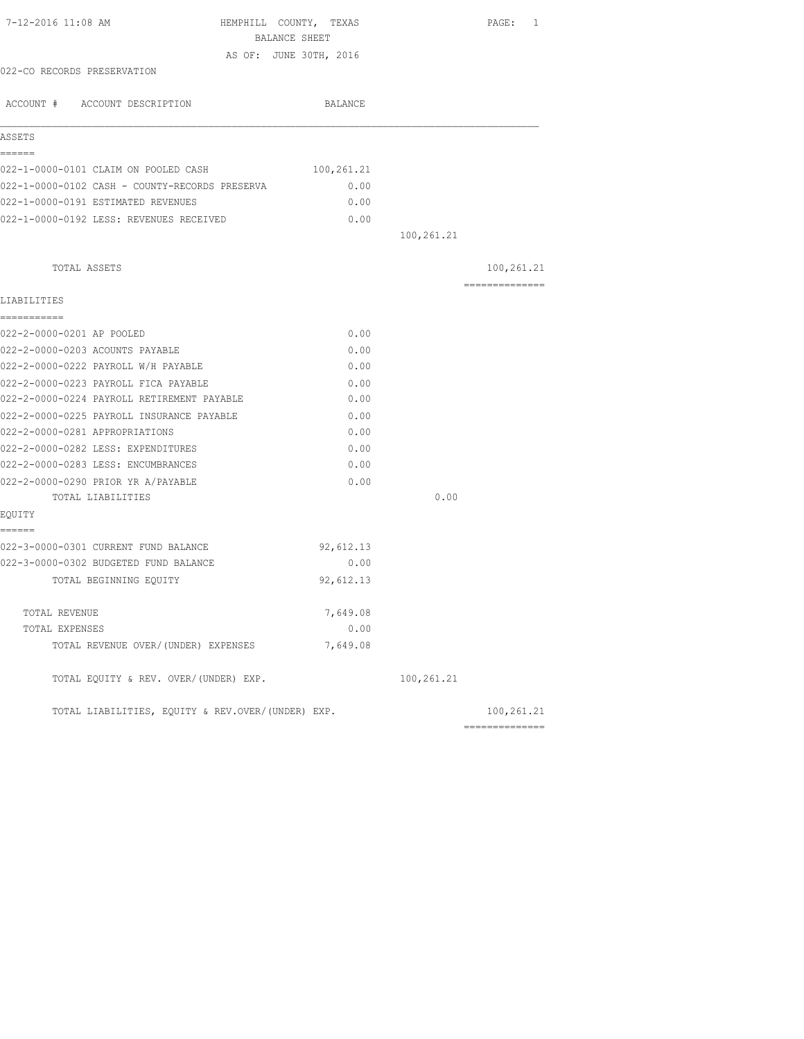| 7-12-2016 11:08 AM                                | HEMPHILL COUNTY, TEXAS<br>BALANCE SHEET |            | PAGE: 1                      |
|---------------------------------------------------|-----------------------------------------|------------|------------------------------|
|                                                   | AS OF: JUNE 30TH, 2016                  |            |                              |
| 022-CO RECORDS PRESERVATION                       |                                         |            |                              |
| ACCOUNT # ACCOUNT DESCRIPTION                     | BALANCE                                 |            |                              |
| ASSETS                                            |                                         |            |                              |
| ======                                            |                                         |            |                              |
| 022-1-0000-0101 CLAIM ON POOLED CASH              | 100,261.21                              |            |                              |
| 022-1-0000-0102 CASH - COUNTY-RECORDS PRESERVA    | 0.00                                    |            |                              |
| 022-1-0000-0191 ESTIMATED REVENUES                | 0.00                                    |            |                              |
| 022-1-0000-0192 LESS: REVENUES RECEIVED           | 0.00                                    |            |                              |
|                                                   |                                         | 100,261.21 |                              |
| TOTAL ASSETS                                      |                                         |            | 100,261.21                   |
| LIABILITIES                                       |                                         |            | ==============               |
| -----------                                       |                                         |            |                              |
| 022-2-0000-0201 AP POOLED                         | 0.00                                    |            |                              |
| 022-2-0000-0203 ACOUNTS PAYABLE                   | 0.00                                    |            |                              |
| 022-2-0000-0222 PAYROLL W/H PAYABLE               | 0.00                                    |            |                              |
| 022-2-0000-0223 PAYROLL FICA PAYABLE              | 0.00                                    |            |                              |
| 022-2-0000-0224 PAYROLL RETIREMENT PAYABLE        | 0.00                                    |            |                              |
| 022-2-0000-0225 PAYROLL INSURANCE PAYABLE         | 0.00                                    |            |                              |
| 022-2-0000-0281 APPROPRIATIONS                    | 0.00                                    |            |                              |
| 022-2-0000-0282 LESS: EXPENDITURES                | 0.00                                    |            |                              |
| 022-2-0000-0283 LESS: ENCUMBRANCES                | 0.00                                    |            |                              |
| 022-2-0000-0290 PRIOR YR A/PAYABLE                | 0.00                                    |            |                              |
| TOTAL LIABILITIES                                 |                                         | 0.00       |                              |
| EQUITY                                            |                                         |            |                              |
| ======<br>022-3-0000-0301 CURRENT FUND BALANCE    | 92,612.13                               |            |                              |
| 022-3-0000-0302 BUDGETED FUND BALANCE             | 0.00                                    |            |                              |
| TOTAL BEGINNING EQUITY                            | 92,612.13                               |            |                              |
|                                                   |                                         |            |                              |
| TOTAL REVENUE                                     | 7,649.08                                |            |                              |
| TOTAL EXPENSES                                    | 0.00                                    |            |                              |
| TOTAL REVENUE OVER/(UNDER) EXPENSES               | 7,649.08                                |            |                              |
| TOTAL EQUITY & REV. OVER/(UNDER) EXP.             |                                         | 100,261.21 |                              |
| TOTAL LIABILITIES, EOUITY & REV.OVER/(UNDER) EXP. |                                         |            | 100,261.21<br>============== |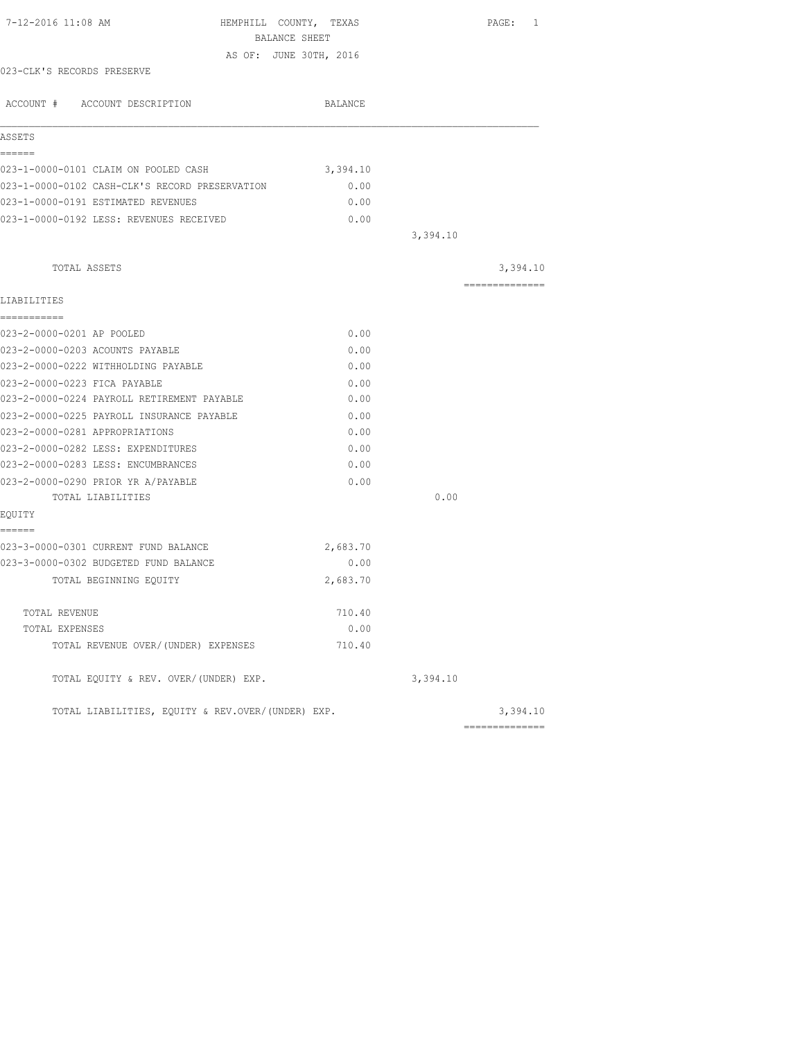| 7-12-2016 11:08 AM                                | HEMPHILL COUNTY, TEXAS |          | PAGE: 1        |
|---------------------------------------------------|------------------------|----------|----------------|
|                                                   | BALANCE SHEET          |          |                |
|                                                   | AS OF: JUNE 30TH, 2016 |          |                |
| 023-CLK'S RECORDS PRESERVE                        |                        |          |                |
| ACCOUNT # ACCOUNT DESCRIPTION                     | BALANCE                |          |                |
| ASSETS                                            |                        |          |                |
| ======<br>023-1-0000-0101 CLAIM ON POOLED CASH    | 3,394.10               |          |                |
| 023-1-0000-0102 CASH-CLK'S RECORD PRESERVATION    | 0.00                   |          |                |
| 023-1-0000-0191 ESTIMATED REVENUES                | 0.00                   |          |                |
| 023-1-0000-0192 LESS: REVENUES RECEIVED           | 0.00                   |          |                |
|                                                   |                        | 3,394.10 |                |
| TOTAL ASSETS                                      |                        |          | 3,394.10       |
|                                                   |                        |          | ============== |
| LIABILITIES                                       |                        |          |                |
| ===========                                       |                        |          |                |
| 023-2-0000-0201 AP POOLED                         | 0.00                   |          |                |
| 023-2-0000-0203 ACOUNTS PAYABLE                   | 0.00                   |          |                |
| 023-2-0000-0222 WITHHOLDING PAYABLE               | 0.00                   |          |                |
| 023-2-0000-0223 FICA PAYABLE                      | 0.00                   |          |                |
| 023-2-0000-0224 PAYROLL RETIREMENT PAYABLE        | 0.00                   |          |                |
| 023-2-0000-0225 PAYROLL INSURANCE PAYABLE         | 0.00                   |          |                |
| 023-2-0000-0281 APPROPRIATIONS                    | 0.00                   |          |                |
| 023-2-0000-0282 LESS: EXPENDITURES                | 0.00                   |          |                |
| 023-2-0000-0283 LESS: ENCUMBRANCES                | 0.00                   |          |                |
| 023-2-0000-0290 PRIOR YR A/PAYABLE                | 0.00                   |          |                |
| TOTAL LIABILITIES                                 |                        | 0.00     |                |
| EQUITY                                            |                        |          |                |
| ======<br>023-3-0000-0301 CURRENT FUND BALANCE    | 2,683.70               |          |                |
| 023-3-0000-0302 BUDGETED FUND BALANCE             | 0.00                   |          |                |
| TOTAL BEGINNING EQUITY                            | 2,683.70               |          |                |
| TOTAL REVENUE                                     | 710.40                 |          |                |
| TOTAL EXPENSES                                    | 0.00                   |          |                |
| TOTAL REVENUE OVER/(UNDER) EXPENSES               | 710.40                 |          |                |
| TOTAL EQUITY & REV. OVER/(UNDER) EXP.             |                        | 3,394.10 |                |
| TOTAL LIABILITIES, EQUITY & REV.OVER/(UNDER) EXP. |                        |          | 3,394.10       |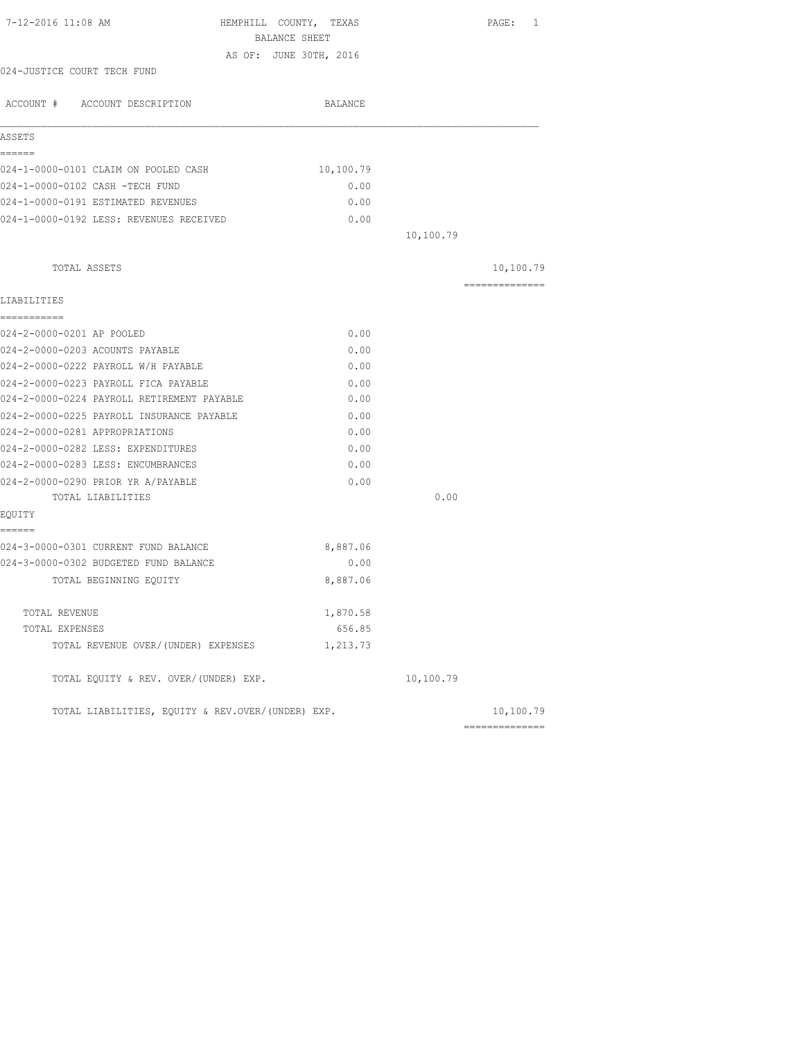| 7-12-2016 11:08 AM                                | HEMPHILL COUNTY, TEXAS<br>BALANCE SHEET |           | PAGE:<br>1     |
|---------------------------------------------------|-----------------------------------------|-----------|----------------|
|                                                   | AS OF: JUNE 30TH, 2016                  |           |                |
| 024-JUSTICE COURT TECH FUND                       |                                         |           |                |
| ACCOUNT # ACCOUNT DESCRIPTION                     | BALANCE                                 |           |                |
| ASSETS                                            |                                         |           |                |
| ------                                            |                                         |           |                |
| 024-1-0000-0101 CLAIM ON POOLED CASH              | 10,100.79                               |           |                |
| 024-1-0000-0102 CASH -TECH FUND                   | 0.00                                    |           |                |
| 024-1-0000-0191 ESTIMATED REVENUES                | 0.00                                    |           |                |
| 024-1-0000-0192 LESS: REVENUES RECEIVED           | 0.00                                    |           |                |
|                                                   |                                         | 10,100.79 |                |
| TOTAL ASSETS                                      |                                         |           | 10,100.79      |
| LIABILITIES                                       |                                         |           | -------------- |
| ===========                                       |                                         |           |                |
| 024-2-0000-0201 AP POOLED                         | 0.00                                    |           |                |
| 024-2-0000-0203 ACOUNTS PAYABLE                   | 0.00                                    |           |                |
| 024-2-0000-0222 PAYROLL W/H PAYABLE               | 0.00                                    |           |                |
| 024-2-0000-0223 PAYROLL FICA PAYABLE              | 0.00                                    |           |                |
| 024-2-0000-0224 PAYROLL RETIREMENT PAYABLE        | 0.00                                    |           |                |
| 024-2-0000-0225 PAYROLL INSURANCE PAYABLE         | 0.00                                    |           |                |
| 024-2-0000-0281 APPROPRIATIONS                    | 0.00                                    |           |                |
| 024-2-0000-0282 LESS: EXPENDITURES                | 0.00                                    |           |                |
| 024-2-0000-0283 LESS: ENCUMBRANCES                | 0.00                                    |           |                |
| 024-2-0000-0290 PRIOR YR A/PAYABLE                | 0.00                                    |           |                |
| TOTAL LIABILITIES                                 |                                         | 0.00      |                |
| EQUITY                                            |                                         |           |                |
| ======<br>024-3-0000-0301 CURRENT FUND BALANCE    | 8,887.06                                |           |                |
| 024-3-0000-0302 BUDGETED FUND BALANCE             | 0.00                                    |           |                |
| TOTAL BEGINNING EQUITY                            | 8,887.06                                |           |                |
|                                                   |                                         |           |                |
| TOTAL REVENUE                                     | 1,870.58                                |           |                |
| TOTAL EXPENSES                                    | 656.85                                  |           |                |
| TOTAL REVENUE OVER/(UNDER) EXPENSES               | 1,213.73                                |           |                |
| TOTAL EQUITY & REV. OVER/(UNDER) EXP.             |                                         | 10,100.79 |                |
| TOTAL LIABILITIES, EQUITY & REV.OVER/(UNDER) EXP. |                                         |           | 10,100.79      |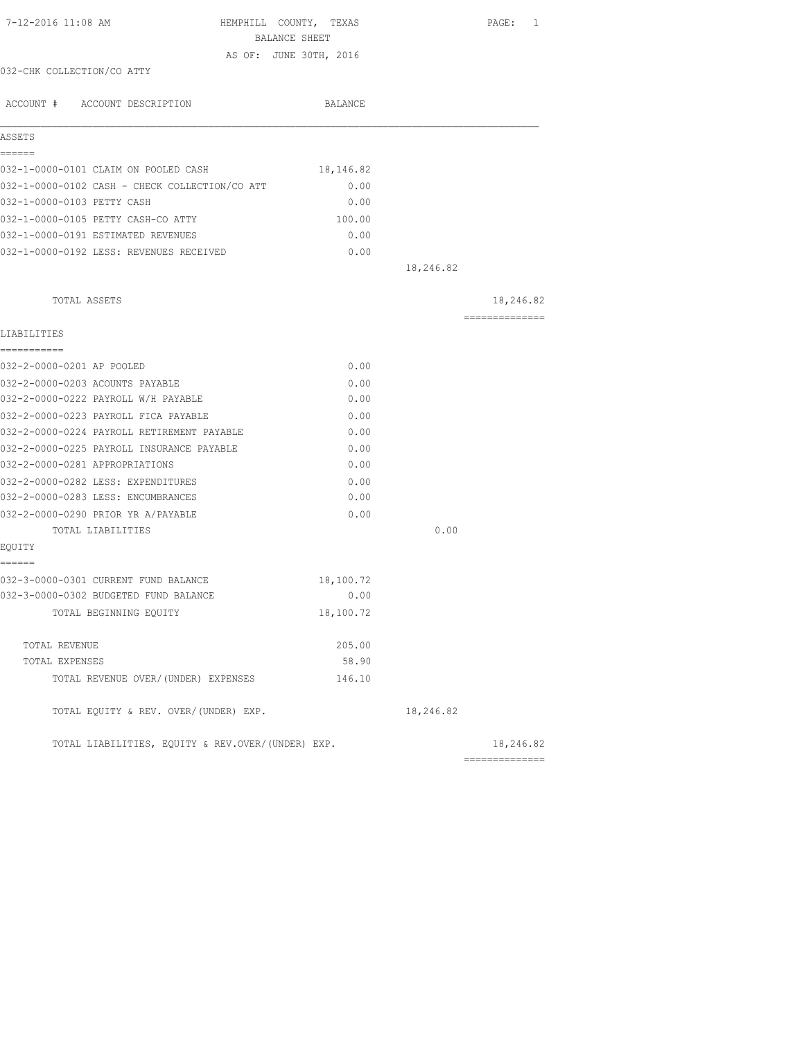| 7-12-2016 11:08 AM                                | HEMPHILL COUNTY, TEXAS<br>BALANCE SHEET |           | PAGE: 1        |
|---------------------------------------------------|-----------------------------------------|-----------|----------------|
|                                                   | AS OF: JUNE 30TH, 2016                  |           |                |
| 032-CHK COLLECTION/CO ATTY                        |                                         |           |                |
| ACCOUNT # ACCOUNT DESCRIPTION                     | BALANCE                                 |           |                |
| ASSETS                                            |                                         |           |                |
| ======<br>032-1-0000-0101 CLAIM ON POOLED CASH    | 18,146.82                               |           |                |
| 032-1-0000-0102 CASH - CHECK COLLECTION/CO ATT    | 0.00                                    |           |                |
| 032-1-0000-0103 PETTY CASH                        | 0.00                                    |           |                |
| 032-1-0000-0105 PETTY CASH-CO ATTY                | 100.00                                  |           |                |
| 032-1-0000-0191 ESTIMATED REVENUES                | 0.00                                    |           |                |
| 032-1-0000-0192 LESS: REVENUES RECEIVED           | 0.00                                    |           |                |
|                                                   |                                         | 18,246.82 |                |
| TOTAL ASSETS                                      |                                         |           | 18,246.82      |
|                                                   |                                         |           | ============== |
| LIABILITIES<br>===========                        |                                         |           |                |
| 032-2-0000-0201 AP POOLED                         | 0.00                                    |           |                |
| 032-2-0000-0203 ACOUNTS PAYABLE                   | 0.00                                    |           |                |
| 032-2-0000-0222 PAYROLL W/H PAYABLE               | 0.00                                    |           |                |
| 032-2-0000-0223 PAYROLL FICA PAYABLE              | 0.00                                    |           |                |
| 032-2-0000-0224 PAYROLL RETIREMENT PAYABLE        | 0.00                                    |           |                |
| 032-2-0000-0225 PAYROLL INSURANCE PAYABLE         | 0.00                                    |           |                |
| 032-2-0000-0281 APPROPRIATIONS                    | 0.00                                    |           |                |
| 032-2-0000-0282 LESS: EXPENDITURES                | 0.00                                    |           |                |
| 032-2-0000-0283 LESS: ENCUMBRANCES                | 0.00                                    |           |                |
| 032-2-0000-0290 PRIOR YR A/PAYABLE                | 0.00                                    |           |                |
| TOTAL LIABILITIES                                 |                                         | 0.00      |                |
| EQUITY                                            |                                         |           |                |
| ======                                            |                                         |           |                |
| 032-3-0000-0301 CURRENT FUND BALANCE              | 18,100.72                               |           |                |
| 032-3-0000-0302 BUDGETED FUND BALANCE             | 0.00                                    |           |                |
| TOTAL BEGINNING EQUITY                            | 18,100.72                               |           |                |
| TOTAL REVENUE                                     | 205.00                                  |           |                |
| TOTAL EXPENSES                                    | 58.90                                   |           |                |
| TOTAL REVENUE OVER/(UNDER) EXPENSES               | 146.10                                  |           |                |
| TOTAL EQUITY & REV. OVER/(UNDER) EXP.             |                                         | 18,246.82 |                |
| TOTAL LIABILITIES, EQUITY & REV.OVER/(UNDER) EXP. |                                         |           | 18,246.82      |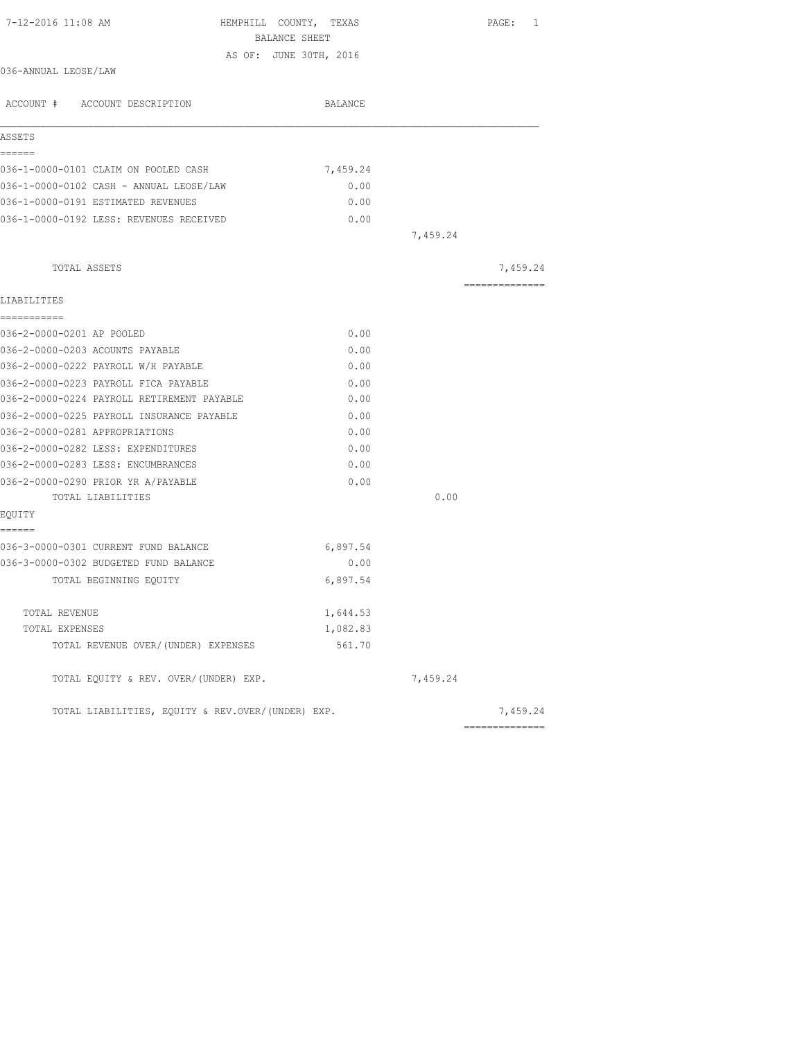| 7-12-2016 11:08 AM<br>HEMPHILL COUNTY, TEXAS<br>BALANCE SHEET |          |          | PAGE: 1        |
|---------------------------------------------------------------|----------|----------|----------------|
| AS OF: JUNE 30TH, 2016                                        |          |          |                |
| 036-ANNUAL LEOSE/LAW                                          |          |          |                |
| ACCOUNT # ACCOUNT DESCRIPTION                                 | BALANCE  |          |                |
| ASSETS                                                        |          |          |                |
| ======                                                        |          |          |                |
| 036-1-0000-0101 CLAIM ON POOLED CASH                          | 7,459.24 |          |                |
| 036-1-0000-0102 CASH - ANNUAL LEOSE/LAW                       | 0.00     |          |                |
| 036-1-0000-0191 ESTIMATED REVENUES                            | 0.00     |          |                |
| 036-1-0000-0192 LESS: REVENUES RECEIVED                       | 0.00     |          |                |
|                                                               |          | 7,459.24 |                |
| TOTAL ASSETS                                                  |          |          | 7,459.24       |
|                                                               |          |          | ============== |
| LIABILITIES                                                   |          |          |                |
| -----------<br>036-2-0000-0201 AP POOLED                      | 0.00     |          |                |
| 036-2-0000-0203 ACOUNTS PAYABLE                               | 0.00     |          |                |
| 036-2-0000-0222 PAYROLL W/H PAYABLE                           | 0.00     |          |                |
| 036-2-0000-0223 PAYROLL FICA PAYABLE                          | 0.00     |          |                |
| 036-2-0000-0224 PAYROLL RETIREMENT PAYABLE                    | 0.00     |          |                |
| 036-2-0000-0225 PAYROLL INSURANCE PAYABLE                     | 0.00     |          |                |
| 036-2-0000-0281 APPROPRIATIONS                                | 0.00     |          |                |
| 036-2-0000-0282 LESS: EXPENDITURES                            | 0.00     |          |                |
| 036-2-0000-0283 LESS: ENCUMBRANCES                            | 0.00     |          |                |
| 036-2-0000-0290 PRIOR YR A/PAYABLE                            | 0.00     |          |                |
| TOTAL LIABILITIES                                             |          | 0.00     |                |
| EQUITY                                                        |          |          |                |
| ======                                                        |          |          |                |
| 036-3-0000-0301 CURRENT FUND BALANCE                          | 6,897.54 |          |                |
| 036-3-0000-0302 BUDGETED FUND BALANCE                         | 0.00     |          |                |
| TOTAL BEGINNING EQUITY                                        | 6,897.54 |          |                |
| TOTAL REVENUE                                                 | 1,644.53 |          |                |
| TOTAL EXPENSES                                                | 1,082.83 |          |                |
| TOTAL REVENUE OVER/(UNDER) EXPENSES                           | 561.70   |          |                |
| TOTAL EQUITY & REV. OVER/(UNDER) EXP.                         |          | 7,459.24 |                |
| TOTAL LIABILITIES, EOUITY & REV.OVER/(UNDER) EXP.             |          |          | 7,459.24       |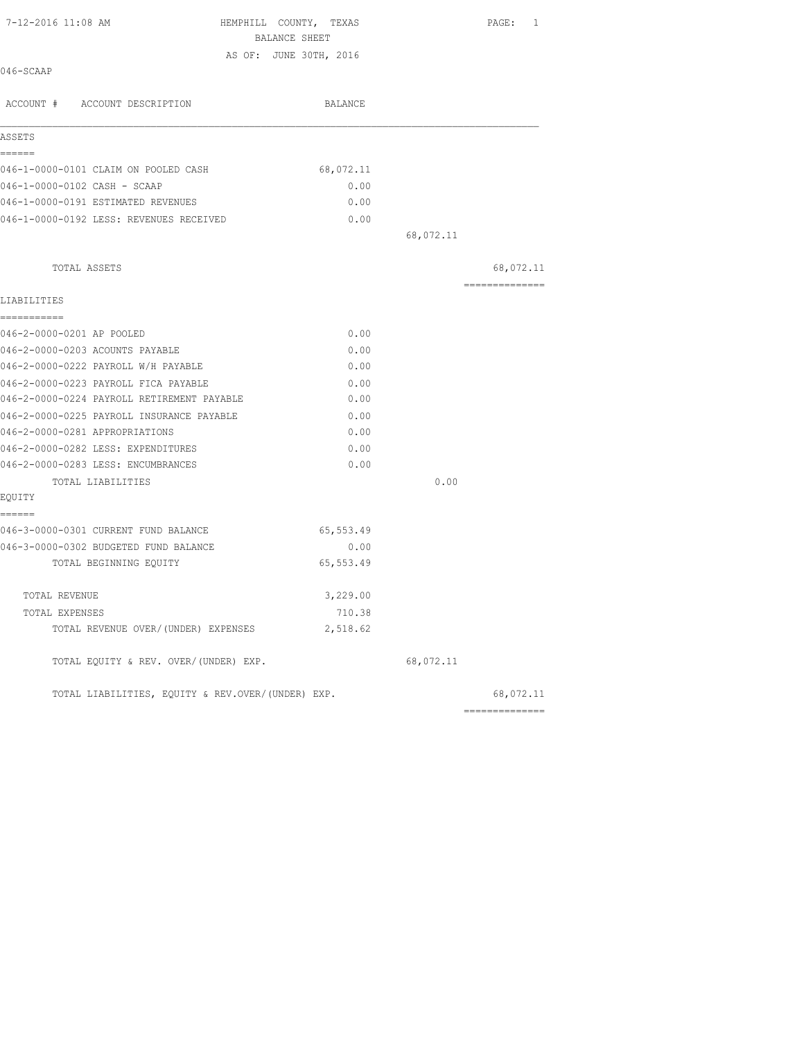| 7-12-2016 11:08 AM                                | HEMPHILL COUNTY, TEXAS |           | PAGE: 1        |
|---------------------------------------------------|------------------------|-----------|----------------|
|                                                   | BALANCE SHEET          |           |                |
| 046-SCAAP                                         | AS OF: JUNE 30TH, 2016 |           |                |
| ACCOUNT # ACCOUNT DESCRIPTION                     | BALANCE                |           |                |
| ASSETS                                            |                        |           |                |
| ======<br>046-1-0000-0101 CLAIM ON POOLED CASH    | 68,072.11              |           |                |
| 046-1-0000-0102 CASH - SCAAP                      | 0.00                   |           |                |
| 046-1-0000-0191 ESTIMATED REVENUES                | 0.00                   |           |                |
| 046-1-0000-0192 LESS: REVENUES RECEIVED           | 0.00                   |           |                |
|                                                   |                        | 68,072.11 |                |
|                                                   |                        |           |                |
| TOTAL ASSETS                                      |                        |           | 68,072.11      |
| LIABILITIES                                       |                        |           | -------------- |
| -----------<br>046-2-0000-0201 AP POOLED          | 0.00                   |           |                |
| 046-2-0000-0203 ACOUNTS PAYABLE                   | 0.00                   |           |                |
| 046-2-0000-0222 PAYROLL W/H PAYABLE               | 0.00                   |           |                |
| 046-2-0000-0223 PAYROLL FICA PAYABLE              | 0.00                   |           |                |
| 046-2-0000-0224 PAYROLL RETIREMENT PAYABLE        | 0.00                   |           |                |
| 046-2-0000-0225 PAYROLL INSURANCE PAYABLE         | 0.00                   |           |                |
| 046-2-0000-0281 APPROPRIATIONS                    | 0.00                   |           |                |
| 046-2-0000-0282 LESS: EXPENDITURES                | 0.00                   |           |                |
| 046-2-0000-0283 LESS: ENCUMBRANCES                | 0.00                   |           |                |
| TOTAL LIABILITIES                                 |                        | 0.00      |                |
| EQUITY                                            |                        |           |                |
| ======                                            |                        |           |                |
| 046-3-0000-0301 CURRENT FUND BALANCE              | 65,553.49              |           |                |
| 046-3-0000-0302 BUDGETED FUND BALANCE             | 0.00                   |           |                |
| TOTAL BEGINNING EQUITY                            | 65,553.49              |           |                |
| TOTAL REVENUE                                     | 3,229.00               |           |                |
| TOTAL EXPENSES                                    | 710.38                 |           |                |
| TOTAL REVENUE OVER/(UNDER) EXPENSES               | 2,518.62               |           |                |
| TOTAL EQUITY & REV. OVER/(UNDER) EXP.             |                        | 68,072.11 |                |
| TOTAL LIABILITIES, EQUITY & REV.OVER/(UNDER) EXP. |                        |           | 68,072.11      |
|                                                   |                        |           | ============== |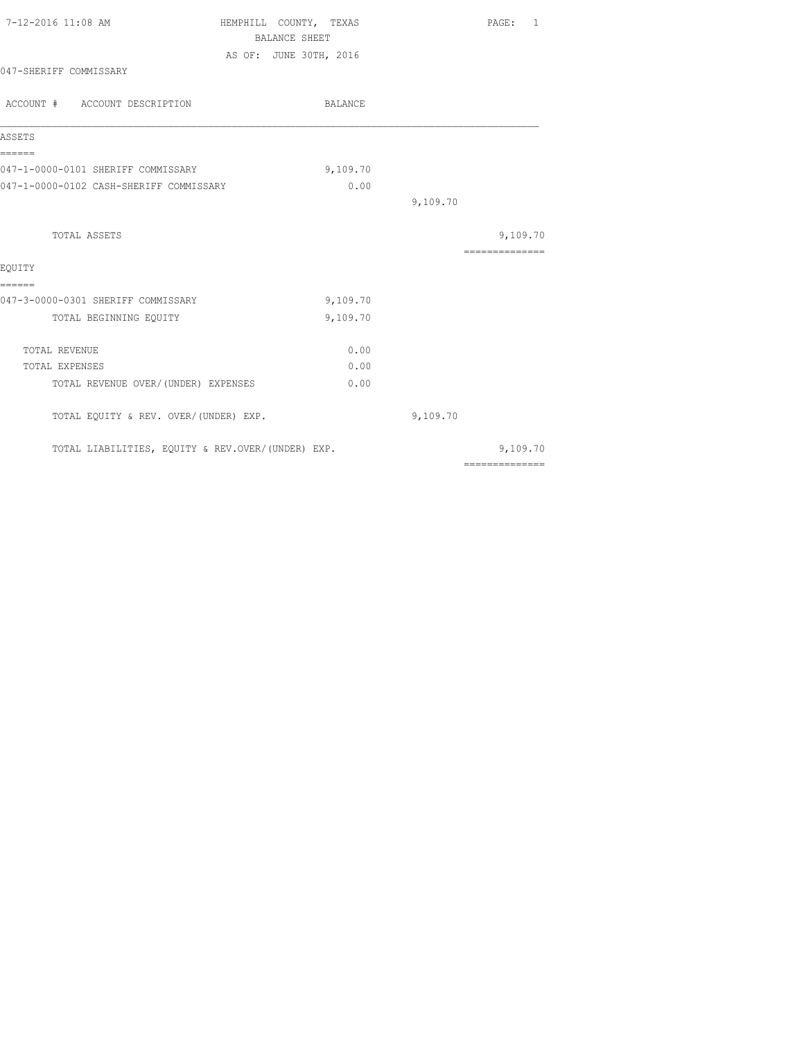| 7-12-2016 11:08 AM                                | HEMPHILL COUNTY, TEXAS | <b>BALANCE SHEET</b>   |          | PAGE: 1                    |
|---------------------------------------------------|------------------------|------------------------|----------|----------------------------|
|                                                   |                        | AS OF: JUNE 30TH, 2016 |          |                            |
| 047-SHERIFF COMMISSARY                            |                        |                        |          |                            |
| ACCOUNT # ACCOUNT DESCRIPTION                     |                        | BALANCE                |          |                            |
| ASSETS                                            |                        |                        |          |                            |
| ======<br>047-1-0000-0101 SHERIFF COMMISSARY      |                        | 9,109.70               |          |                            |
| 047-1-0000-0102 CASH-SHERIFF COMMISSARY           |                        | 0.00                   |          |                            |
|                                                   |                        |                        | 9,109.70 |                            |
| TOTAL ASSETS                                      |                        |                        |          | 9,109.70                   |
|                                                   |                        |                        |          | --------------             |
| EOUITY                                            |                        |                        |          |                            |
| ======                                            |                        |                        |          |                            |
| 047-3-0000-0301 SHERIFF COMMISSARY                |                        | 9,109.70               |          |                            |
| TOTAL BEGINNING EQUITY                            |                        | 9,109.70               |          |                            |
| TOTAL REVENUE                                     |                        | 0.00                   |          |                            |
| <b>TOTAL EXPENSES</b>                             |                        | 0.00                   |          |                            |
| TOTAL REVENUE OVER/ (UNDER) EXPENSES              |                        | 0.00                   |          |                            |
| TOTAL EQUITY & REV. OVER/(UNDER) EXP.             |                        |                        | 9,109.70 |                            |
| TOTAL LIABILITIES, EQUITY & REV.OVER/(UNDER) EXP. |                        |                        |          | 9,109.70<br>============== |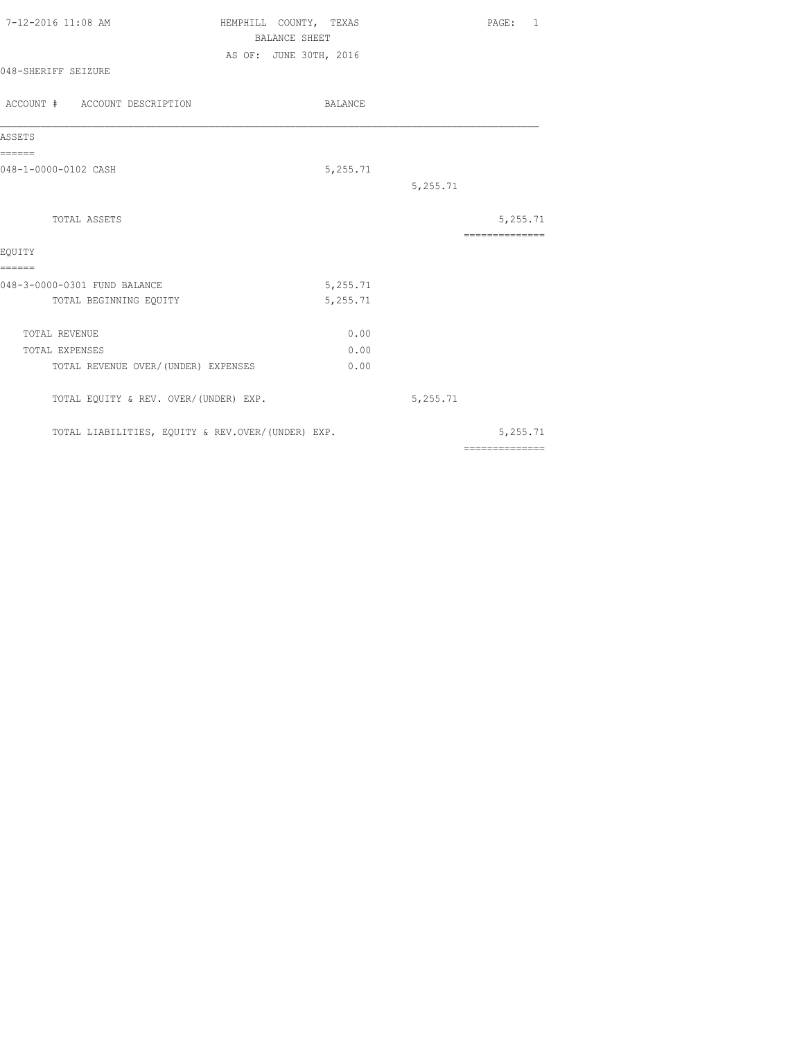| 7-12-2016 11:08 AM<br>048-SHERIFF SEIZURE                              | HEMPHILL COUNTY, TEXAS<br><b>BALANCE SHEET</b><br>AS OF: JUNE 30TH, 2016 | PAGE: 1                                                                                                                                                                                                                                                                                                                                                                                                                                                                                   |
|------------------------------------------------------------------------|--------------------------------------------------------------------------|-------------------------------------------------------------------------------------------------------------------------------------------------------------------------------------------------------------------------------------------------------------------------------------------------------------------------------------------------------------------------------------------------------------------------------------------------------------------------------------------|
| ACCOUNT # ACCOUNT DESCRIPTION                                          | BALANCE                                                                  |                                                                                                                                                                                                                                                                                                                                                                                                                                                                                           |
| ASSETS                                                                 |                                                                          |                                                                                                                                                                                                                                                                                                                                                                                                                                                                                           |
| ======<br>048-1-0000-0102 CASH                                         | 5,255.71<br>5,255.71                                                     |                                                                                                                                                                                                                                                                                                                                                                                                                                                                                           |
| TOTAL ASSETS                                                           |                                                                          | 5,255.71<br>==============                                                                                                                                                                                                                                                                                                                                                                                                                                                                |
| EOUITY<br>======                                                       |                                                                          |                                                                                                                                                                                                                                                                                                                                                                                                                                                                                           |
| 048-3-0000-0301 FUND BALANCE<br>TOTAL BEGINNING EQUITY                 | 5,255.71<br>5,255.71                                                     |                                                                                                                                                                                                                                                                                                                                                                                                                                                                                           |
| TOTAL REVENUE<br>TOTAL EXPENSES<br>TOTAL REVENUE OVER/(UNDER) EXPENSES | 0.00<br>0.00<br>0.00                                                     |                                                                                                                                                                                                                                                                                                                                                                                                                                                                                           |
| TOTAL EQUITY & REV. OVER/(UNDER) EXP.                                  | 5,255.71                                                                 |                                                                                                                                                                                                                                                                                                                                                                                                                                                                                           |
| TOTAL LIABILITIES, EQUITY & REV.OVER/(UNDER) EXP.                      |                                                                          | 5,255.71<br>$\begin{array}{cccccc} \multicolumn{2}{c}{{\color{red}z}} & \multicolumn{2}{c}{{\color{red}z}} & \multicolumn{2}{c}{{\color{red}z}} & \multicolumn{2}{c}{{\color{red}z}} & \multicolumn{2}{c}{{\color{red}z}} & \multicolumn{2}{c}{{\color{red}z}} & \multicolumn{2}{c}{{\color{red}z}} & \multicolumn{2}{c}{{\color{red}z}} & \multicolumn{2}{c}{{\color{red}z}} & \multicolumn{2}{c}{{\color{red}z}} & \multicolumn{2}{c}{{\color{red}z}} & \multicolumn{2}{c}{{\color{red$ |